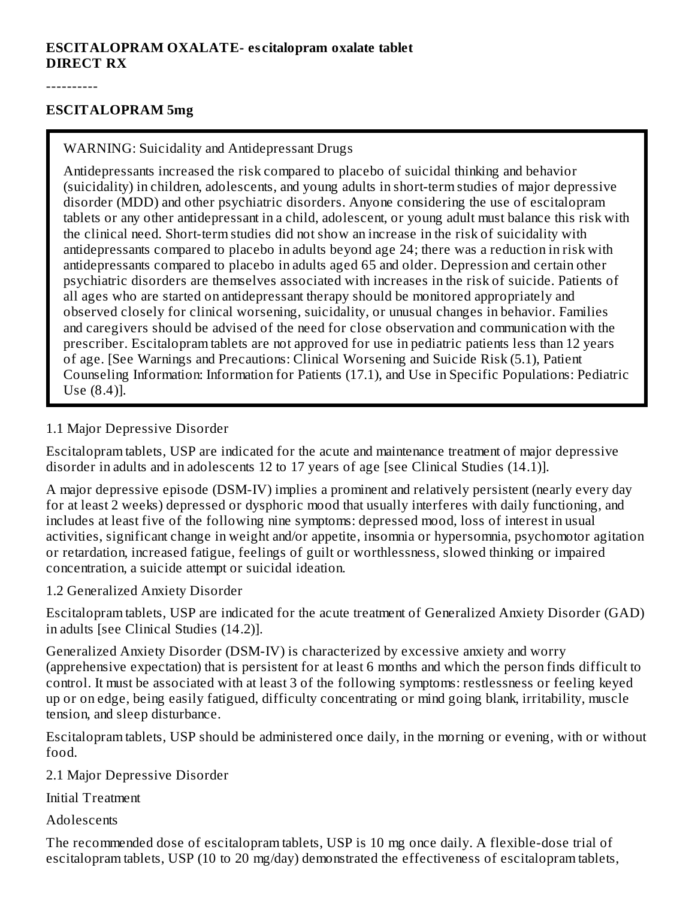#### **ESCITALOPRAM OXALATE- es citalopram oxalate tablet DIRECT RX**

----------

#### **ESCITALOPRAM 5mg**

#### WARNING: Suicidality and Antidepressant Drugs

Antidepressants increased the risk compared to placebo of suicidal thinking and behavior (suicidality) in children, adolescents, and young adults in short-term studies of major depressive disorder (MDD) and other psychiatric disorders. Anyone considering the use of escitalopram tablets or any other antidepressant in a child, adolescent, or young adult must balance this risk with the clinical need. Short-term studies did not show an increase in the risk of suicidality with antidepressants compared to placebo in adults beyond age 24; there was a reduction in risk with antidepressants compared to placebo in adults aged 65 and older. Depression and certain other psychiatric disorders are themselves associated with increases in the risk of suicide. Patients of all ages who are started on antidepressant therapy should be monitored appropriately and observed closely for clinical worsening, suicidality, or unusual changes in behavior. Families and caregivers should be advised of the need for close observation and communication with the prescriber. Escitalopram tablets are not approved for use in pediatric patients less than 12 years of age. [See Warnings and Precautions: Clinical Worsening and Suicide Risk (5.1), Patient Counseling Information: Information for Patients (17.1), and Use in Specific Populations: Pediatric Use (8.4)].

#### 1.1 Major Depressive Disorder

Escitalopram tablets, USP are indicated for the acute and maintenance treatment of major depressive disorder in adults and in adolescents 12 to 17 years of age [see Clinical Studies (14.1)].

A major depressive episode (DSM-IV) implies a prominent and relatively persistent (nearly every day for at least 2 weeks) depressed or dysphoric mood that usually interferes with daily functioning, and includes at least five of the following nine symptoms: depressed mood, loss of interest in usual activities, significant change in weight and/or appetite, insomnia or hypersomnia, psychomotor agitation or retardation, increased fatigue, feelings of guilt or worthlessness, slowed thinking or impaired concentration, a suicide attempt or suicidal ideation.

#### 1.2 Generalized Anxiety Disorder

Escitalopram tablets, USP are indicated for the acute treatment of Generalized Anxiety Disorder (GAD) in adults [see Clinical Studies (14.2)].

Generalized Anxiety Disorder (DSM-IV) is characterized by excessive anxiety and worry (apprehensive expectation) that is persistent for at least 6 months and which the person finds difficult to control. It must be associated with at least 3 of the following symptoms: restlessness or feeling keyed up or on edge, being easily fatigued, difficulty concentrating or mind going blank, irritability, muscle tension, and sleep disturbance.

Escitalopram tablets, USP should be administered once daily, in the morning or evening, with or without food.

#### 2.1 Major Depressive Disorder

Initial Treatment

**Adolescents** 

The recommended dose of escitalopram tablets, USP is 10 mg once daily. A flexible-dose trial of escitalopram tablets, USP (10 to 20 mg/day) demonstrated the effectiveness of escitalopram tablets,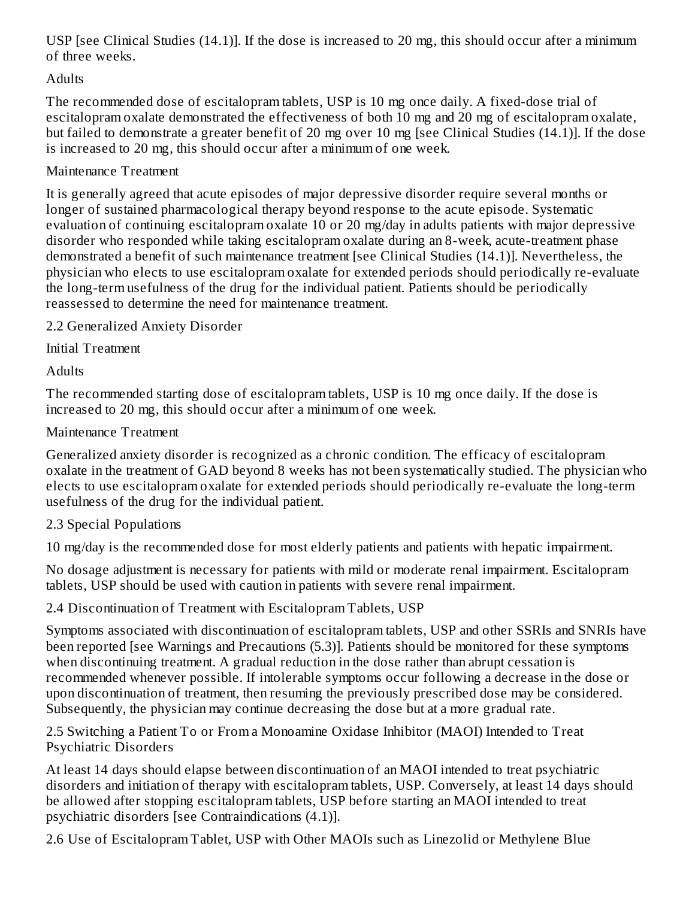USP [see Clinical Studies (14.1)]. If the dose is increased to 20 mg, this should occur after a minimum of three weeks.

## Adults

The recommended dose of escitalopram tablets, USP is 10 mg once daily. A fixed-dose trial of escitalopram oxalate demonstrated the effectiveness of both 10 mg and 20 mg of escitalopram oxalate, but failed to demonstrate a greater benefit of 20 mg over 10 mg [see Clinical Studies (14.1)]. If the dose is increased to 20 mg, this should occur after a minimum of one week.

# Maintenance Treatment

It is generally agreed that acute episodes of major depressive disorder require several months or longer of sustained pharmacological therapy beyond response to the acute episode. Systematic evaluation of continuing escitalopram oxalate 10 or 20 mg/day in adults patients with major depressive disorder who responded while taking escitalopram oxalate during an 8-week, acute-treatment phase demonstrated a benefit of such maintenance treatment [see Clinical Studies (14.1)]. Nevertheless, the physician who elects to use escitalopram oxalate for extended periods should periodically re-evaluate the long-term usefulness of the drug for the individual patient. Patients should be periodically reassessed to determine the need for maintenance treatment.

2.2 Generalized Anxiety Disorder

Initial Treatment

**Adults** 

The recommended starting dose of escitalopram tablets, USP is 10 mg once daily. If the dose is increased to 20 mg, this should occur after a minimum of one week.

## Maintenance Treatment

Generalized anxiety disorder is recognized as a chronic condition. The efficacy of escitalopram oxalate in the treatment of GAD beyond 8 weeks has not been systematically studied. The physician who elects to use escitalopram oxalate for extended periods should periodically re-evaluate the long-term usefulness of the drug for the individual patient.

# 2.3 Special Populations

10 mg/day is the recommended dose for most elderly patients and patients with hepatic impairment.

No dosage adjustment is necessary for patients with mild or moderate renal impairment. Escitalopram tablets, USP should be used with caution in patients with severe renal impairment.

2.4 Discontinuation of Treatment with Escitalopram Tablets, USP

Symptoms associated with discontinuation of escitalopram tablets, USP and other SSRIs and SNRIs have been reported [see Warnings and Precautions (5.3)]. Patients should be monitored for these symptoms when discontinuing treatment. A gradual reduction in the dose rather than abrupt cessation is recommended whenever possible. If intolerable symptoms occur following a decrease in the dose or upon discontinuation of treatment, then resuming the previously prescribed dose may be considered. Subsequently, the physician may continue decreasing the dose but at a more gradual rate.

2.5 Switching a Patient To or From a Monoamine Oxidase Inhibitor (MAOI) Intended to Treat Psychiatric Disorders

At least 14 days should elapse between discontinuation of an MAOI intended to treat psychiatric disorders and initiation of therapy with escitalopram tablets, USP. Conversely, at least 14 days should be allowed after stopping escitalopram tablets, USP before starting an MAOI intended to treat psychiatric disorders [see Contraindications (4.1)].

2.6 Use of Escitalopram Tablet, USP with Other MAOIs such as Linezolid or Methylene Blue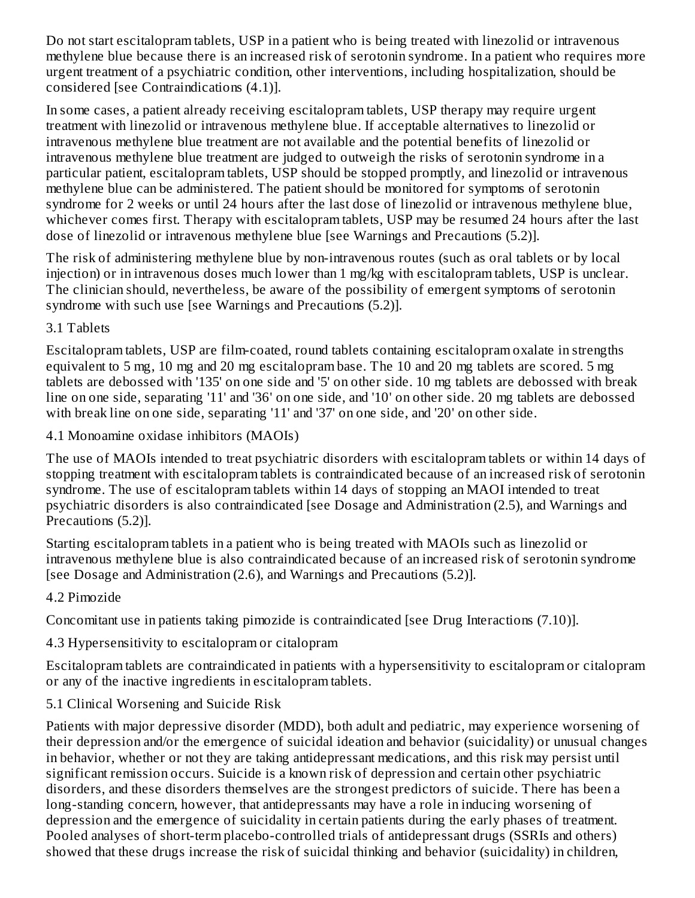Do not start escitalopram tablets, USP in a patient who is being treated with linezolid or intravenous methylene blue because there is an increased risk of serotonin syndrome. In a patient who requires more urgent treatment of a psychiatric condition, other interventions, including hospitalization, should be considered [see Contraindications (4.1)].

In some cases, a patient already receiving escitalopram tablets, USP therapy may require urgent treatment with linezolid or intravenous methylene blue. If acceptable alternatives to linezolid or intravenous methylene blue treatment are not available and the potential benefits of linezolid or intravenous methylene blue treatment are judged to outweigh the risks of serotonin syndrome in a particular patient, escitalopram tablets, USP should be stopped promptly, and linezolid or intravenous methylene blue can be administered. The patient should be monitored for symptoms of serotonin syndrome for 2 weeks or until 24 hours after the last dose of linezolid or intravenous methylene blue, whichever comes first. Therapy with escitalopram tablets, USP may be resumed 24 hours after the last dose of linezolid or intravenous methylene blue [see Warnings and Precautions (5.2)].

The risk of administering methylene blue by non-intravenous routes (such as oral tablets or by local injection) or in intravenous doses much lower than 1 mg/kg with escitalopram tablets, USP is unclear. The clinician should, nevertheless, be aware of the possibility of emergent symptoms of serotonin syndrome with such use [see Warnings and Precautions (5.2)].

#### 3.1 Tablets

Escitalopram tablets, USP are film-coated, round tablets containing escitalopram oxalate in strengths equivalent to 5 mg, 10 mg and 20 mg escitalopram base. The 10 and 20 mg tablets are scored. 5 mg tablets are debossed with '135' on one side and '5' on other side. 10 mg tablets are debossed with break line on one side, separating '11' and '36' on one side, and '10' on other side. 20 mg tablets are debossed with break line on one side, separating '11' and '37' on one side, and '20' on other side.

4.1 Monoamine oxidase inhibitors (MAOIs)

The use of MAOIs intended to treat psychiatric disorders with escitalopram tablets or within 14 days of stopping treatment with escitalopram tablets is contraindicated because of an increased risk of serotonin syndrome. The use of escitalopram tablets within 14 days of stopping an MAOI intended to treat psychiatric disorders is also contraindicated [see Dosage and Administration (2.5), and Warnings and Precautions (5.2)].

Starting escitalopram tablets in a patient who is being treated with MAOIs such as linezolid or intravenous methylene blue is also contraindicated because of an increased risk of serotonin syndrome [see Dosage and Administration (2.6), and Warnings and Precautions (5.2)].

## 4.2 Pimozide

Concomitant use in patients taking pimozide is contraindicated [see Drug Interactions (7.10)].

4.3 Hypersensitivity to escitalopram or citalopram

Escitalopram tablets are contraindicated in patients with a hypersensitivity to escitalopram or citalopram or any of the inactive ingredients in escitalopram tablets.

# 5.1 Clinical Worsening and Suicide Risk

Patients with major depressive disorder (MDD), both adult and pediatric, may experience worsening of their depression and/or the emergence of suicidal ideation and behavior (suicidality) or unusual changes in behavior, whether or not they are taking antidepressant medications, and this risk may persist until significant remission occurs. Suicide is a known risk of depression and certain other psychiatric disorders, and these disorders themselves are the strongest predictors of suicide. There has been a long-standing concern, however, that antidepressants may have a role in inducing worsening of depression and the emergence of suicidality in certain patients during the early phases of treatment. Pooled analyses of short-term placebo-controlled trials of antidepressant drugs (SSRIs and others) showed that these drugs increase the risk of suicidal thinking and behavior (suicidality) in children,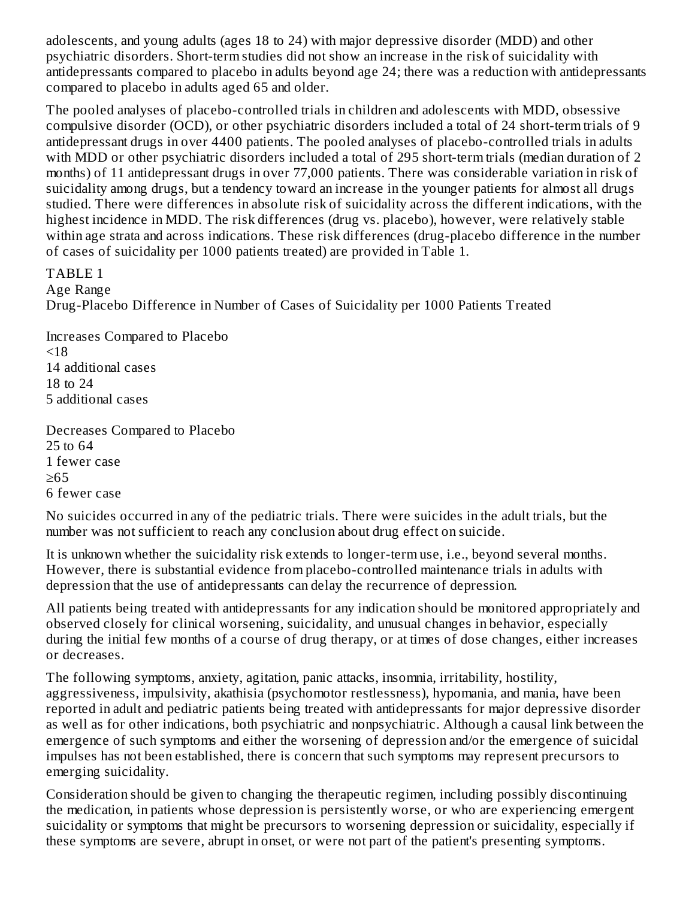adolescents, and young adults (ages 18 to 24) with major depressive disorder (MDD) and other psychiatric disorders. Short-term studies did not show an increase in the risk of suicidality with antidepressants compared to placebo in adults beyond age 24; there was a reduction with antidepressants compared to placebo in adults aged 65 and older.

The pooled analyses of placebo-controlled trials in children and adolescents with MDD, obsessive compulsive disorder (OCD), or other psychiatric disorders included a total of 24 short-term trials of 9 antidepressant drugs in over 4400 patients. The pooled analyses of placebo-controlled trials in adults with MDD or other psychiatric disorders included a total of 295 short-term trials (median duration of 2 months) of 11 antidepressant drugs in over 77,000 patients. There was considerable variation in risk of suicidality among drugs, but a tendency toward an increase in the younger patients for almost all drugs studied. There were differences in absolute risk of suicidality across the different indications, with the highest incidence in MDD. The risk differences (drug vs. placebo), however, were relatively stable within age strata and across indications. These risk differences (drug-placebo difference in the number of cases of suicidality per 1000 patients treated) are provided in Table 1.

TABLE 1 Age Range Drug-Placebo Difference in Number of Cases of Suicidality per 1000 Patients Treated

Increases Compared to Placebo  $< 18$ 14 additional cases 18 to 24 5 additional cases

Decreases Compared to Placebo 25 to 64 1 fewer case ≥65 6 fewer case

No suicides occurred in any of the pediatric trials. There were suicides in the adult trials, but the number was not sufficient to reach any conclusion about drug effect on suicide.

It is unknown whether the suicidality risk extends to longer-term use, i.e., beyond several months. However, there is substantial evidence from placebo-controlled maintenance trials in adults with depression that the use of antidepressants can delay the recurrence of depression.

All patients being treated with antidepressants for any indication should be monitored appropriately and observed closely for clinical worsening, suicidality, and unusual changes in behavior, especially during the initial few months of a course of drug therapy, or at times of dose changes, either increases or decreases.

The following symptoms, anxiety, agitation, panic attacks, insomnia, irritability, hostility, aggressiveness, impulsivity, akathisia (psychomotor restlessness), hypomania, and mania, have been reported in adult and pediatric patients being treated with antidepressants for major depressive disorder as well as for other indications, both psychiatric and nonpsychiatric. Although a causal link between the emergence of such symptoms and either the worsening of depression and/or the emergence of suicidal impulses has not been established, there is concern that such symptoms may represent precursors to emerging suicidality.

Consideration should be given to changing the therapeutic regimen, including possibly discontinuing the medication, in patients whose depression is persistently worse, or who are experiencing emergent suicidality or symptoms that might be precursors to worsening depression or suicidality, especially if these symptoms are severe, abrupt in onset, or were not part of the patient's presenting symptoms.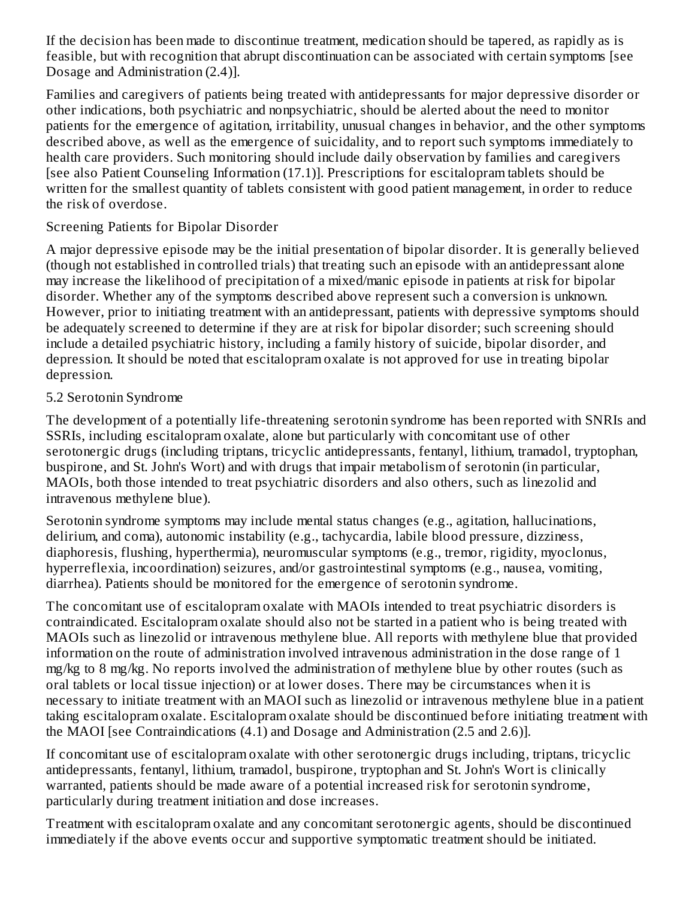If the decision has been made to discontinue treatment, medication should be tapered, as rapidly as is feasible, but with recognition that abrupt discontinuation can be associated with certain symptoms [see Dosage and Administration (2.4)].

Families and caregivers of patients being treated with antidepressants for major depressive disorder or other indications, both psychiatric and nonpsychiatric, should be alerted about the need to monitor patients for the emergence of agitation, irritability, unusual changes in behavior, and the other symptoms described above, as well as the emergence of suicidality, and to report such symptoms immediately to health care providers. Such monitoring should include daily observation by families and caregivers [see also Patient Counseling Information (17.1)]. Prescriptions for escitalopram tablets should be written for the smallest quantity of tablets consistent with good patient management, in order to reduce the risk of overdose.

#### Screening Patients for Bipolar Disorder

A major depressive episode may be the initial presentation of bipolar disorder. It is generally believed (though not established in controlled trials) that treating such an episode with an antidepressant alone may increase the likelihood of precipitation of a mixed/manic episode in patients at risk for bipolar disorder. Whether any of the symptoms described above represent such a conversion is unknown. However, prior to initiating treatment with an antidepressant, patients with depressive symptoms should be adequately screened to determine if they are at risk for bipolar disorder; such screening should include a detailed psychiatric history, including a family history of suicide, bipolar disorder, and depression. It should be noted that escitalopram oxalate is not approved for use in treating bipolar depression.

#### 5.2 Serotonin Syndrome

The development of a potentially life-threatening serotonin syndrome has been reported with SNRIs and SSRIs, including escitalopram oxalate, alone but particularly with concomitant use of other serotonergic drugs (including triptans, tricyclic antidepressants, fentanyl, lithium, tramadol, tryptophan, buspirone, and St. John's Wort) and with drugs that impair metabolism of serotonin (in particular, MAOIs, both those intended to treat psychiatric disorders and also others, such as linezolid and intravenous methylene blue).

Serotonin syndrome symptoms may include mental status changes (e.g., agitation, hallucinations, delirium, and coma), autonomic instability (e.g., tachycardia, labile blood pressure, dizziness, diaphoresis, flushing, hyperthermia), neuromuscular symptoms (e.g., tremor, rigidity, myoclonus, hyperreflexia, incoordination) seizures, and/or gastrointestinal symptoms (e.g., nausea, vomiting, diarrhea). Patients should be monitored for the emergence of serotonin syndrome.

The concomitant use of escitalopram oxalate with MAOIs intended to treat psychiatric disorders is contraindicated. Escitalopram oxalate should also not be started in a patient who is being treated with MAOIs such as linezolid or intravenous methylene blue. All reports with methylene blue that provided information on the route of administration involved intravenous administration in the dose range of 1 mg/kg to 8 mg/kg. No reports involved the administration of methylene blue by other routes (such as oral tablets or local tissue injection) or at lower doses. There may be circumstances when it is necessary to initiate treatment with an MAOI such as linezolid or intravenous methylene blue in a patient taking escitalopram oxalate. Escitalopram oxalate should be discontinued before initiating treatment with the MAOI [see Contraindications (4.1) and Dosage and Administration (2.5 and 2.6)].

If concomitant use of escitalopram oxalate with other serotonergic drugs including, triptans, tricyclic antidepressants, fentanyl, lithium, tramadol, buspirone, tryptophan and St. John's Wort is clinically warranted, patients should be made aware of a potential increased risk for serotonin syndrome, particularly during treatment initiation and dose increases.

Treatment with escitalopram oxalate and any concomitant serotonergic agents, should be discontinued immediately if the above events occur and supportive symptomatic treatment should be initiated.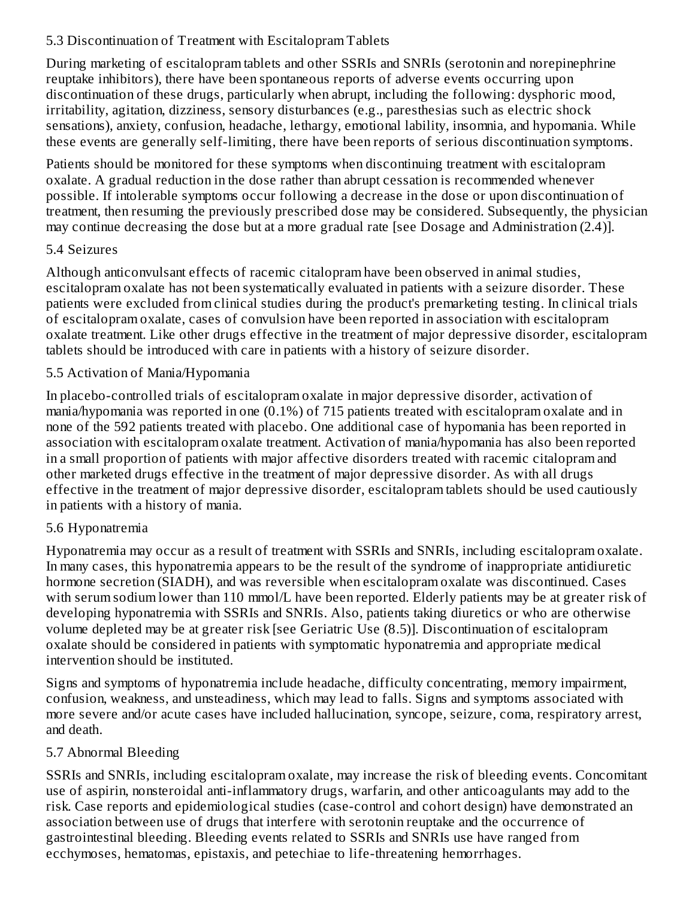## 5.3 Discontinuation of Treatment with Escitalopram Tablets

During marketing of escitalopram tablets and other SSRIs and SNRIs (serotonin and norepinephrine reuptake inhibitors), there have been spontaneous reports of adverse events occurring upon discontinuation of these drugs, particularly when abrupt, including the following: dysphoric mood, irritability, agitation, dizziness, sensory disturbances (e.g., paresthesias such as electric shock sensations), anxiety, confusion, headache, lethargy, emotional lability, insomnia, and hypomania. While these events are generally self-limiting, there have been reports of serious discontinuation symptoms.

Patients should be monitored for these symptoms when discontinuing treatment with escitalopram oxalate. A gradual reduction in the dose rather than abrupt cessation is recommended whenever possible. If intolerable symptoms occur following a decrease in the dose or upon discontinuation of treatment, then resuming the previously prescribed dose may be considered. Subsequently, the physician may continue decreasing the dose but at a more gradual rate [see Dosage and Administration (2.4)].

## 5.4 Seizures

Although anticonvulsant effects of racemic citalopram have been observed in animal studies, escitalopram oxalate has not been systematically evaluated in patients with a seizure disorder. These patients were excluded from clinical studies during the product's premarketing testing. In clinical trials of escitalopram oxalate, cases of convulsion have been reported in association with escitalopram oxalate treatment. Like other drugs effective in the treatment of major depressive disorder, escitalopram tablets should be introduced with care in patients with a history of seizure disorder.

# 5.5 Activation of Mania/Hypomania

In placebo-controlled trials of escitalopram oxalate in major depressive disorder, activation of mania/hypomania was reported in one (0.1%) of 715 patients treated with escitalopram oxalate and in none of the 592 patients treated with placebo. One additional case of hypomania has been reported in association with escitalopram oxalate treatment. Activation of mania/hypomania has also been reported in a small proportion of patients with major affective disorders treated with racemic citalopram and other marketed drugs effective in the treatment of major depressive disorder. As with all drugs effective in the treatment of major depressive disorder, escitalopram tablets should be used cautiously in patients with a history of mania.

# 5.6 Hyponatremia

Hyponatremia may occur as a result of treatment with SSRIs and SNRIs, including escitalopram oxalate. In many cases, this hyponatremia appears to be the result of the syndrome of inappropriate antidiuretic hormone secretion (SIADH), and was reversible when escitalopram oxalate was discontinued. Cases with serum sodium lower than 110 mmol/L have been reported. Elderly patients may be at greater risk of developing hyponatremia with SSRIs and SNRIs. Also, patients taking diuretics or who are otherwise volume depleted may be at greater risk [see Geriatric Use (8.5)]. Discontinuation of escitalopram oxalate should be considered in patients with symptomatic hyponatremia and appropriate medical intervention should be instituted.

Signs and symptoms of hyponatremia include headache, difficulty concentrating, memory impairment, confusion, weakness, and unsteadiness, which may lead to falls. Signs and symptoms associated with more severe and/or acute cases have included hallucination, syncope, seizure, coma, respiratory arrest, and death.

# 5.7 Abnormal Bleeding

SSRIs and SNRIs, including escitalopram oxalate, may increase the risk of bleeding events. Concomitant use of aspirin, nonsteroidal anti-inflammatory drugs, warfarin, and other anticoagulants may add to the risk. Case reports and epidemiological studies (case-control and cohort design) have demonstrated an association between use of drugs that interfere with serotonin reuptake and the occurrence of gastrointestinal bleeding. Bleeding events related to SSRIs and SNRIs use have ranged from ecchymoses, hematomas, epistaxis, and petechiae to life-threatening hemorrhages.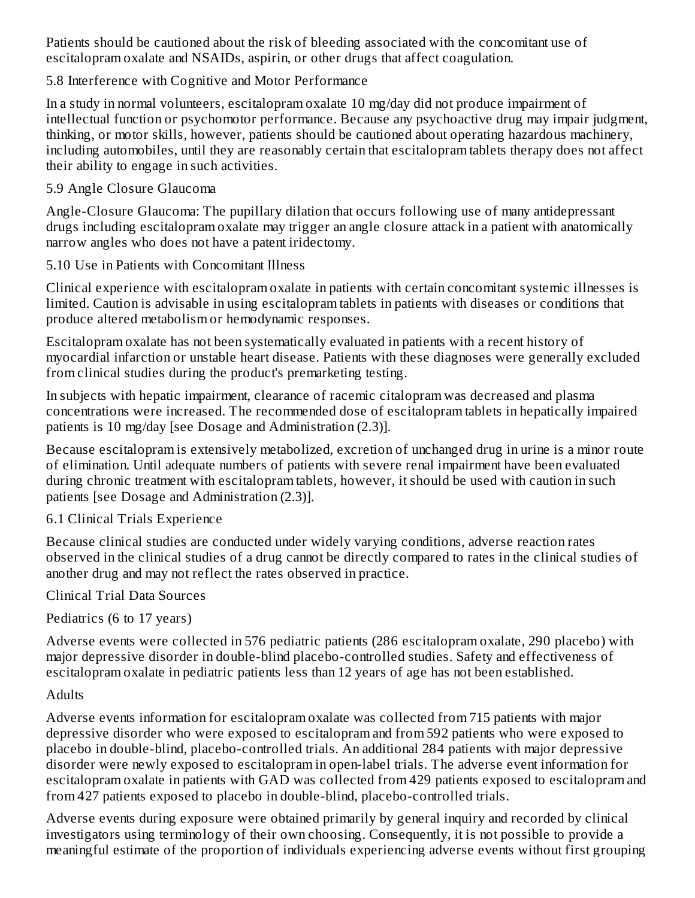Patients should be cautioned about the risk of bleeding associated with the concomitant use of escitalopram oxalate and NSAIDs, aspirin, or other drugs that affect coagulation.

#### 5.8 Interference with Cognitive and Motor Performance

In a study in normal volunteers, escitalopram oxalate 10 mg/day did not produce impairment of intellectual function or psychomotor performance. Because any psychoactive drug may impair judgment, thinking, or motor skills, however, patients should be cautioned about operating hazardous machinery, including automobiles, until they are reasonably certain that escitalopram tablets therapy does not affect their ability to engage in such activities.

#### 5.9 Angle Closure Glaucoma

Angle-Closure Glaucoma: The pupillary dilation that occurs following use of many antidepressant drugs including escitalopram oxalate may trigger an angle closure attack in a patient with anatomically narrow angles who does not have a patent iridectomy.

#### 5.10 Use in Patients with Concomitant Illness

Clinical experience with escitalopram oxalate in patients with certain concomitant systemic illnesses is limited. Caution is advisable in using escitalopram tablets in patients with diseases or conditions that produce altered metabolism or hemodynamic responses.

Escitalopram oxalate has not been systematically evaluated in patients with a recent history of myocardial infarction or unstable heart disease. Patients with these diagnoses were generally excluded from clinical studies during the product's premarketing testing.

In subjects with hepatic impairment, clearance of racemic citalopram was decreased and plasma concentrations were increased. The recommended dose of escitalopram tablets in hepatically impaired patients is 10 mg/day [see Dosage and Administration (2.3)].

Because escitalopram is extensively metabolized, excretion of unchanged drug in urine is a minor route of elimination. Until adequate numbers of patients with severe renal impairment have been evaluated during chronic treatment with escitalopram tablets, however, it should be used with caution in such patients [see Dosage and Administration (2.3)].

## 6.1 Clinical Trials Experience

Because clinical studies are conducted under widely varying conditions, adverse reaction rates observed in the clinical studies of a drug cannot be directly compared to rates in the clinical studies of another drug and may not reflect the rates observed in practice.

Clinical Trial Data Sources

Pediatrics (6 to 17 years)

Adverse events were collected in 576 pediatric patients (286 escitalopram oxalate, 290 placebo) with major depressive disorder in double-blind placebo-controlled studies. Safety and effectiveness of escitalopram oxalate in pediatric patients less than 12 years of age has not been established.

## **Adults**

Adverse events information for escitalopram oxalate was collected from 715 patients with major depressive disorder who were exposed to escitalopram and from 592 patients who were exposed to placebo in double-blind, placebo-controlled trials. An additional 284 patients with major depressive disorder were newly exposed to escitalopram in open-label trials. The adverse event information for escitalopram oxalate in patients with GAD was collected from 429 patients exposed to escitalopram and from 427 patients exposed to placebo in double-blind, placebo-controlled trials.

Adverse events during exposure were obtained primarily by general inquiry and recorded by clinical investigators using terminology of their own choosing. Consequently, it is not possible to provide a meaningful estimate of the proportion of individuals experiencing adverse events without first grouping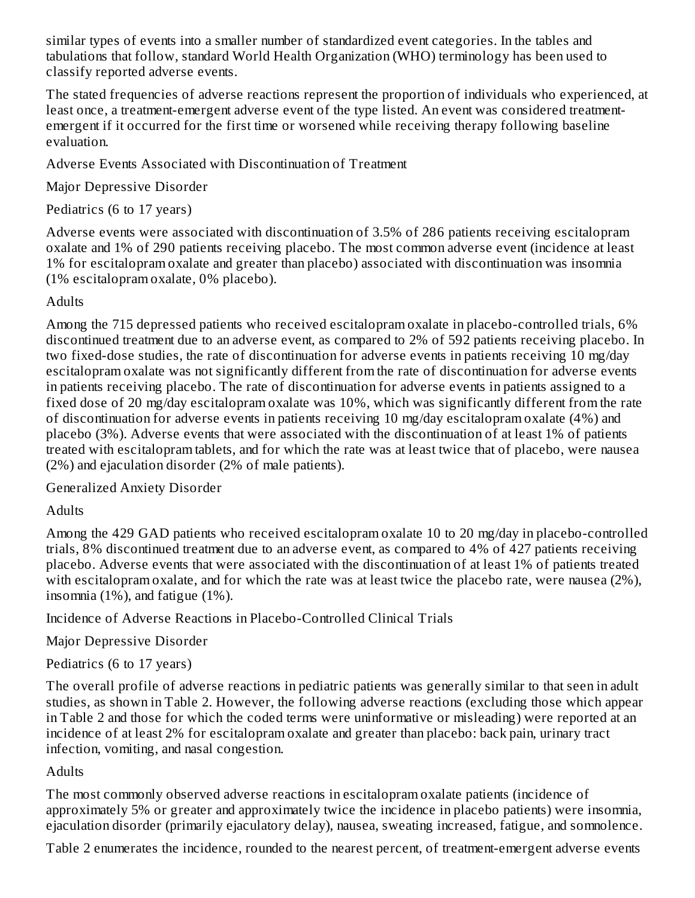similar types of events into a smaller number of standardized event categories. In the tables and tabulations that follow, standard World Health Organization (WHO) terminology has been used to classify reported adverse events.

The stated frequencies of adverse reactions represent the proportion of individuals who experienced, at least once, a treatment-emergent adverse event of the type listed. An event was considered treatmentemergent if it occurred for the first time or worsened while receiving therapy following baseline evaluation.

Adverse Events Associated with Discontinuation of Treatment

Major Depressive Disorder

Pediatrics (6 to 17 years)

Adverse events were associated with discontinuation of 3.5% of 286 patients receiving escitalopram oxalate and 1% of 290 patients receiving placebo. The most common adverse event (incidence at least 1% for escitalopram oxalate and greater than placebo) associated with discontinuation was insomnia (1% escitalopram oxalate, 0% placebo).

# **Adults**

Among the 715 depressed patients who received escitalopram oxalate in placebo-controlled trials, 6% discontinued treatment due to an adverse event, as compared to 2% of 592 patients receiving placebo. In two fixed-dose studies, the rate of discontinuation for adverse events in patients receiving 10 mg/day escitalopram oxalate was not significantly different from the rate of discontinuation for adverse events in patients receiving placebo. The rate of discontinuation for adverse events in patients assigned to a fixed dose of 20 mg/day escitalopram oxalate was 10%, which was significantly different from the rate of discontinuation for adverse events in patients receiving 10 mg/day escitalopram oxalate (4%) and placebo (3%). Adverse events that were associated with the discontinuation of at least 1% of patients treated with escitalopram tablets, and for which the rate was at least twice that of placebo, were nausea (2%) and ejaculation disorder (2% of male patients).

Generalized Anxiety Disorder

# Adults

Among the 429 GAD patients who received escitalopram oxalate 10 to 20 mg/day in placebo-controlled trials, 8% discontinued treatment due to an adverse event, as compared to 4% of 427 patients receiving placebo. Adverse events that were associated with the discontinuation of at least 1% of patients treated with escitalopram oxalate, and for which the rate was at least twice the placebo rate, were nausea (2%), insomnia (1%), and fatigue (1%).

Incidence of Adverse Reactions in Placebo-Controlled Clinical Trials

# Major Depressive Disorder

Pediatrics (6 to 17 years)

The overall profile of adverse reactions in pediatric patients was generally similar to that seen in adult studies, as shown in Table 2. However, the following adverse reactions (excluding those which appear in Table 2 and those for which the coded terms were uninformative or misleading) were reported at an incidence of at least 2% for escitalopram oxalate and greater than placebo: back pain, urinary tract infection, vomiting, and nasal congestion.

# Adults

The most commonly observed adverse reactions in escitalopram oxalate patients (incidence of approximately 5% or greater and approximately twice the incidence in placebo patients) were insomnia, ejaculation disorder (primarily ejaculatory delay), nausea, sweating increased, fatigue, and somnolence.

Table 2 enumerates the incidence, rounded to the nearest percent, of treatment-emergent adverse events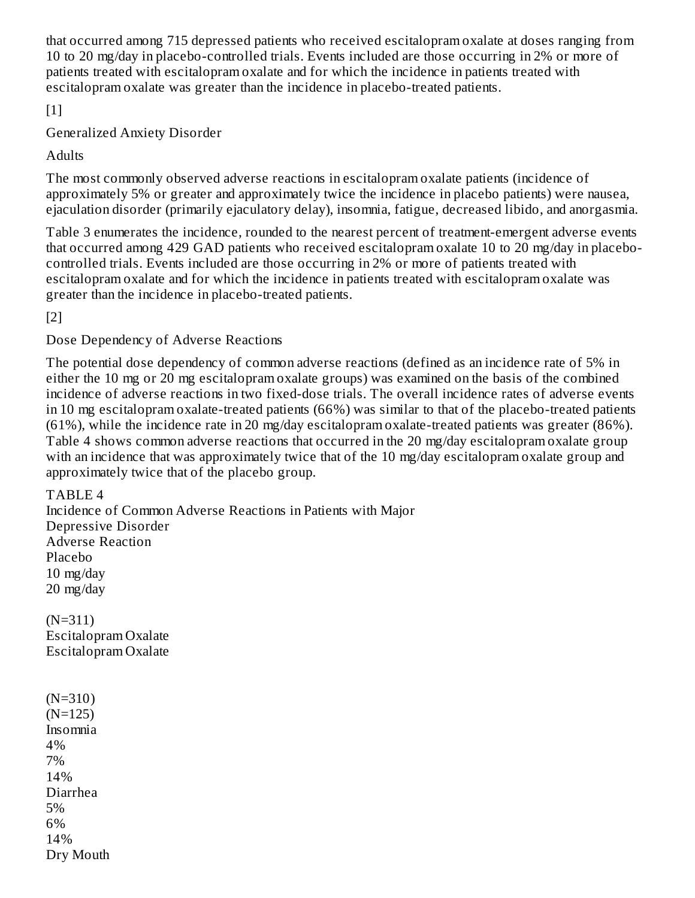that occurred among 715 depressed patients who received escitalopram oxalate at doses ranging from 10 to 20 mg/day in placebo-controlled trials. Events included are those occurring in 2% or more of patients treated with escitalopram oxalate and for which the incidence in patients treated with escitalopram oxalate was greater than the incidence in placebo-treated patients.

# [1]

Generalized Anxiety Disorder

Adults

The most commonly observed adverse reactions in escitalopram oxalate patients (incidence of approximately 5% or greater and approximately twice the incidence in placebo patients) were nausea, ejaculation disorder (primarily ejaculatory delay), insomnia, fatigue, decreased libido, and anorgasmia.

Table 3 enumerates the incidence, rounded to the nearest percent of treatment-emergent adverse events that occurred among 429 GAD patients who received escitalopram oxalate 10 to 20 mg/day in placebocontrolled trials. Events included are those occurring in 2% or more of patients treated with escitalopram oxalate and for which the incidence in patients treated with escitalopram oxalate was greater than the incidence in placebo-treated patients.

[2]

Dose Dependency of Adverse Reactions

The potential dose dependency of common adverse reactions (defined as an incidence rate of 5% in either the 10 mg or 20 mg escitalopram oxalate groups) was examined on the basis of the combined incidence of adverse reactions in two fixed-dose trials. The overall incidence rates of adverse events in 10 mg escitalopram oxalate-treated patients (66%) was similar to that of the placebo-treated patients (61%), while the incidence rate in 20 mg/day escitalopram oxalate-treated patients was greater (86%). Table 4 shows common adverse reactions that occurred in the 20 mg/day escitalopram oxalate group with an incidence that was approximately twice that of the 10 mg/day escitalopram oxalate group and approximately twice that of the placebo group.

TABLE 4

Incidence of Common Adverse Reactions in Patients with Major Depressive Disorder Adverse Reaction Placebo 10 mg/day 20 mg/day

(N=311) Escitalopram Oxalate Escitalopram Oxalate

(N=310) (N=125) Insomnia 4% 7% 14% Diarrhea 5% 6% 14% Dry Mouth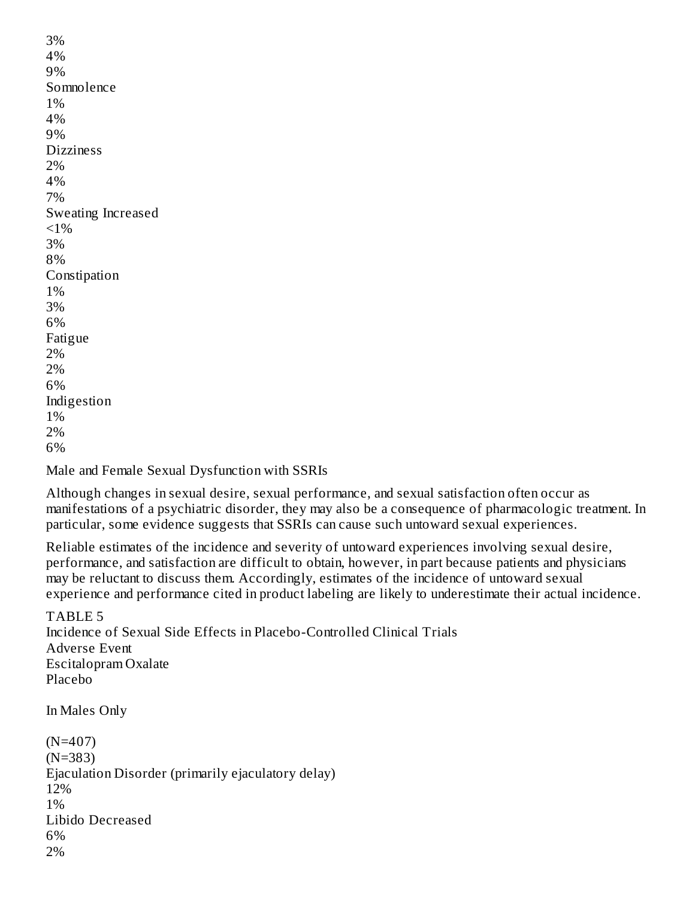3% 4% 9% Somnolence 1% 4% 9% Dizziness 2% 4% 7% Sweating Increased  $1\%$ 3% 8% Constipation 1% 3% 6% Fatigue 2% 2% 6% Indigestion 1% 2% 6%

Male and Female Sexual Dysfunction with SSRIs

Although changes in sexual desire, sexual performance, and sexual satisfaction often occur as manifestations of a psychiatric disorder, they may also be a consequence of pharmacologic treatment. In particular, some evidence suggests that SSRIs can cause such untoward sexual experiences.

Reliable estimates of the incidence and severity of untoward experiences involving sexual desire, performance, and satisfaction are difficult to obtain, however, in part because patients and physicians may be reluctant to discuss them. Accordingly, estimates of the incidence of untoward sexual experience and performance cited in product labeling are likely to underestimate their actual incidence.

TABLE 5 Incidence of Sexual Side Effects in Placebo-Controlled Clinical Trials Adverse Event Escitalopram Oxalate Placebo

In Males Only

```
(N=407)(N=383)
Ejaculation Disorder (primarily ejaculatory delay)
12%
1%
Libido Decreased
6%
2%
```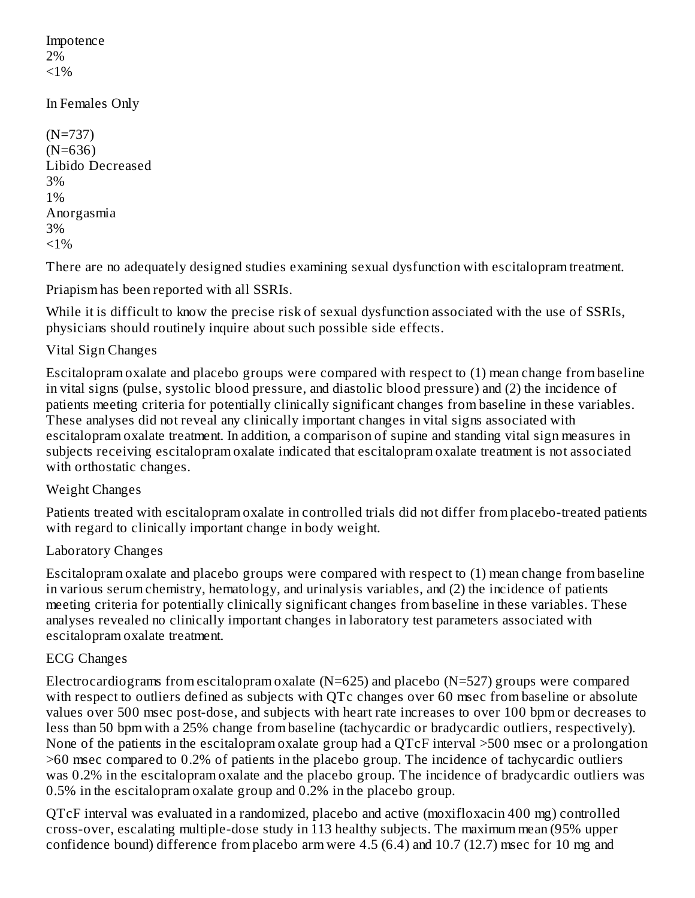Impotence 2%  $<1\%$ 

In Females Only

```
(N=737)
(N=636)
Libido Decreased
3%
1%
Anorgasmia
3%
<1\%
```
There are no adequately designed studies examining sexual dysfunction with escitalopram treatment.

Priapism has been reported with all SSRIs.

While it is difficult to know the precise risk of sexual dysfunction associated with the use of SSRIs, physicians should routinely inquire about such possible side effects.

#### Vital Sign Changes

Escitalopram oxalate and placebo groups were compared with respect to (1) mean change from baseline in vital signs (pulse, systolic blood pressure, and diastolic blood pressure) and (2) the incidence of patients meeting criteria for potentially clinically significant changes from baseline in these variables. These analyses did not reveal any clinically important changes in vital signs associated with escitalopram oxalate treatment. In addition, a comparison of supine and standing vital sign measures in subjects receiving escitalopram oxalate indicated that escitalopram oxalate treatment is not associated with orthostatic changes.

#### Weight Changes

Patients treated with escitalopram oxalate in controlled trials did not differ from placebo-treated patients with regard to clinically important change in body weight.

#### Laboratory Changes

Escitalopram oxalate and placebo groups were compared with respect to (1) mean change from baseline in various serum chemistry, hematology, and urinalysis variables, and (2) the incidence of patients meeting criteria for potentially clinically significant changes from baseline in these variables. These analyses revealed no clinically important changes in laboratory test parameters associated with escitalopram oxalate treatment.

#### ECG Changes

Electrocardiograms from escitalopram oxalate (N=625) and placebo (N=527) groups were compared with respect to outliers defined as subjects with QTc changes over 60 msec from baseline or absolute values over 500 msec post-dose, and subjects with heart rate increases to over 100 bpm or decreases to less than 50 bpm with a 25% change from baseline (tachycardic or bradycardic outliers, respectively). None of the patients in the escitalopram oxalate group had a QTcF interval >500 msec or a prolongation >60 msec compared to 0.2% of patients in the placebo group. The incidence of tachycardic outliers was 0.2% in the escitalopram oxalate and the placebo group. The incidence of bradycardic outliers was 0.5% in the escitalopram oxalate group and 0.2% in the placebo group.

QTcF interval was evaluated in a randomized, placebo and active (moxifloxacin 400 mg) controlled cross-over, escalating multiple-dose study in 113 healthy subjects. The maximum mean (95% upper confidence bound) difference from placebo arm were 4.5 (6.4) and 10.7 (12.7) msec for 10 mg and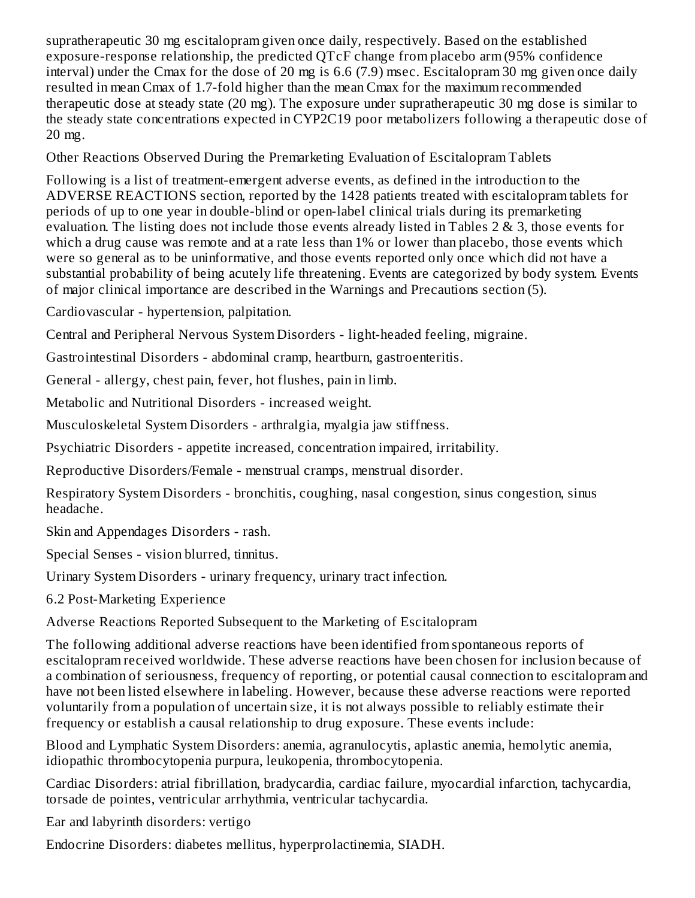supratherapeutic 30 mg escitalopram given once daily, respectively. Based on the established exposure-response relationship, the predicted QTcF change from placebo arm (95% confidence interval) under the Cmax for the dose of 20 mg is 6.6 (7.9) msec. Escitalopram 30 mg given once daily resulted in mean Cmax of 1.7-fold higher than the mean Cmax for the maximum recommended therapeutic dose at steady state (20 mg). The exposure under supratherapeutic 30 mg dose is similar to the steady state concentrations expected in CYP2C19 poor metabolizers following a therapeutic dose of 20 mg.

Other Reactions Observed During the Premarketing Evaluation of Escitalopram Tablets

Following is a list of treatment-emergent adverse events, as defined in the introduction to the ADVERSE REACTIONS section, reported by the 1428 patients treated with escitalopram tablets for periods of up to one year in double-blind or open-label clinical trials during its premarketing evaluation. The listing does not include those events already listed in Tables 2 & 3, those events for which a drug cause was remote and at a rate less than 1% or lower than placebo, those events which were so general as to be uninformative, and those events reported only once which did not have a substantial probability of being acutely life threatening. Events are categorized by body system. Events of major clinical importance are described in the Warnings and Precautions section (5).

Cardiovascular - hypertension, palpitation.

Central and Peripheral Nervous System Disorders - light-headed feeling, migraine.

Gastrointestinal Disorders - abdominal cramp, heartburn, gastroenteritis.

General - allergy, chest pain, fever, hot flushes, pain in limb.

Metabolic and Nutritional Disorders - increased weight.

Musculoskeletal System Disorders - arthralgia, myalgia jaw stiffness.

Psychiatric Disorders - appetite increased, concentration impaired, irritability.

Reproductive Disorders/Female - menstrual cramps, menstrual disorder.

Respiratory System Disorders - bronchitis, coughing, nasal congestion, sinus congestion, sinus headache.

Skin and Appendages Disorders - rash.

Special Senses - vision blurred, tinnitus.

Urinary System Disorders - urinary frequency, urinary tract infection.

6.2 Post-Marketing Experience

Adverse Reactions Reported Subsequent to the Marketing of Escitalopram

The following additional adverse reactions have been identified from spontaneous reports of escitalopram received worldwide. These adverse reactions have been chosen for inclusion because of a combination of seriousness, frequency of reporting, or potential causal connection to escitalopram and have not been listed elsewhere in labeling. However, because these adverse reactions were reported voluntarily from a population of uncertain size, it is not always possible to reliably estimate their frequency or establish a causal relationship to drug exposure. These events include:

Blood and Lymphatic System Disorders: anemia, agranulocytis, aplastic anemia, hemolytic anemia, idiopathic thrombocytopenia purpura, leukopenia, thrombocytopenia.

Cardiac Disorders: atrial fibrillation, bradycardia, cardiac failure, myocardial infarction, tachycardia, torsade de pointes, ventricular arrhythmia, ventricular tachycardia.

Ear and labyrinth disorders: vertigo

Endocrine Disorders: diabetes mellitus, hyperprolactinemia, SIADH.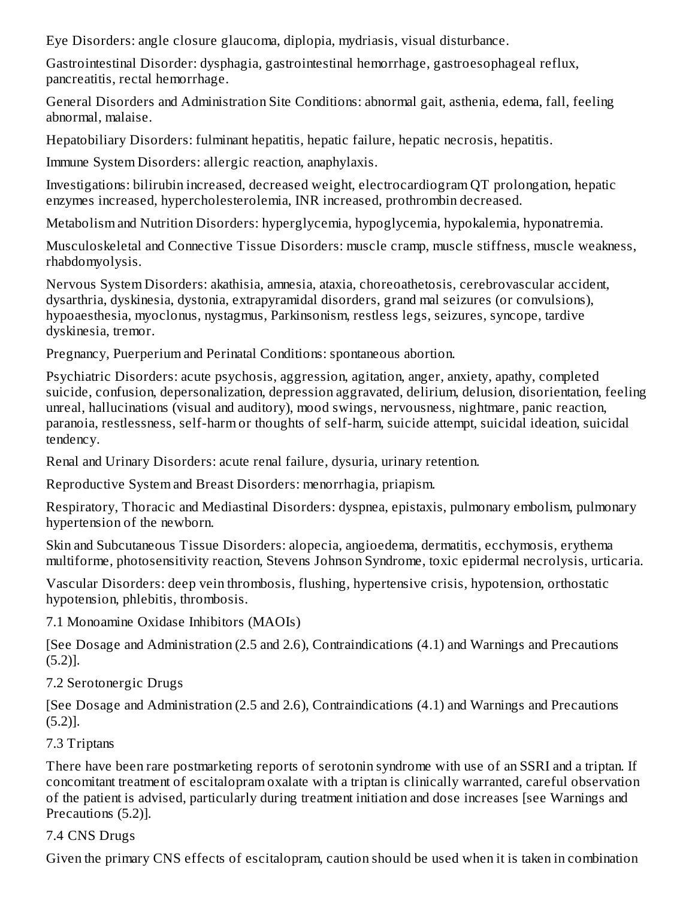Eye Disorders: angle closure glaucoma, diplopia, mydriasis, visual disturbance.

Gastrointestinal Disorder: dysphagia, gastrointestinal hemorrhage, gastroesophageal reflux, pancreatitis, rectal hemorrhage.

General Disorders and Administration Site Conditions: abnormal gait, asthenia, edema, fall, feeling abnormal, malaise.

Hepatobiliary Disorders: fulminant hepatitis, hepatic failure, hepatic necrosis, hepatitis.

Immune System Disorders: allergic reaction, anaphylaxis.

Investigations: bilirubin increased, decreased weight, electrocardiogram QT prolongation, hepatic enzymes increased, hypercholesterolemia, INR increased, prothrombin decreased.

Metabolism and Nutrition Disorders: hyperglycemia, hypoglycemia, hypokalemia, hyponatremia.

Musculoskeletal and Connective Tissue Disorders: muscle cramp, muscle stiffness, muscle weakness, rhabdomyolysis.

Nervous System Disorders: akathisia, amnesia, ataxia, choreoathetosis, cerebrovascular accident, dysarthria, dyskinesia, dystonia, extrapyramidal disorders, grand mal seizures (or convulsions), hypoaesthesia, myoclonus, nystagmus, Parkinsonism, restless legs, seizures, syncope, tardive dyskinesia, tremor.

Pregnancy, Puerperium and Perinatal Conditions: spontaneous abortion.

Psychiatric Disorders: acute psychosis, aggression, agitation, anger, anxiety, apathy, completed suicide, confusion, depersonalization, depression aggravated, delirium, delusion, disorientation, feeling unreal, hallucinations (visual and auditory), mood swings, nervousness, nightmare, panic reaction, paranoia, restlessness, self-harm or thoughts of self-harm, suicide attempt, suicidal ideation, suicidal tendency.

Renal and Urinary Disorders: acute renal failure, dysuria, urinary retention.

Reproductive System and Breast Disorders: menorrhagia, priapism.

Respiratory, Thoracic and Mediastinal Disorders: dyspnea, epistaxis, pulmonary embolism, pulmonary hypertension of the newborn.

Skin and Subcutaneous Tissue Disorders: alopecia, angioedema, dermatitis, ecchymosis, erythema multiforme, photosensitivity reaction, Stevens Johnson Syndrome, toxic epidermal necrolysis, urticaria.

Vascular Disorders: deep vein thrombosis, flushing, hypertensive crisis, hypotension, orthostatic hypotension, phlebitis, thrombosis.

7.1 Monoamine Oxidase Inhibitors (MAOIs)

[See Dosage and Administration (2.5 and 2.6), Contraindications (4.1) and Warnings and Precautions  $(5.2)$ ].

## 7.2 Serotonergic Drugs

[See Dosage and Administration (2.5 and 2.6), Contraindications (4.1) and Warnings and Precautions (5.2)].

## 7.3 Triptans

There have been rare postmarketing reports of serotonin syndrome with use of an SSRI and a triptan. If concomitant treatment of escitalopram oxalate with a triptan is clinically warranted, careful observation of the patient is advised, particularly during treatment initiation and dose increases [see Warnings and Precautions (5.2)].

# 7.4 CNS Drugs

Given the primary CNS effects of escitalopram, caution should be used when it is taken in combination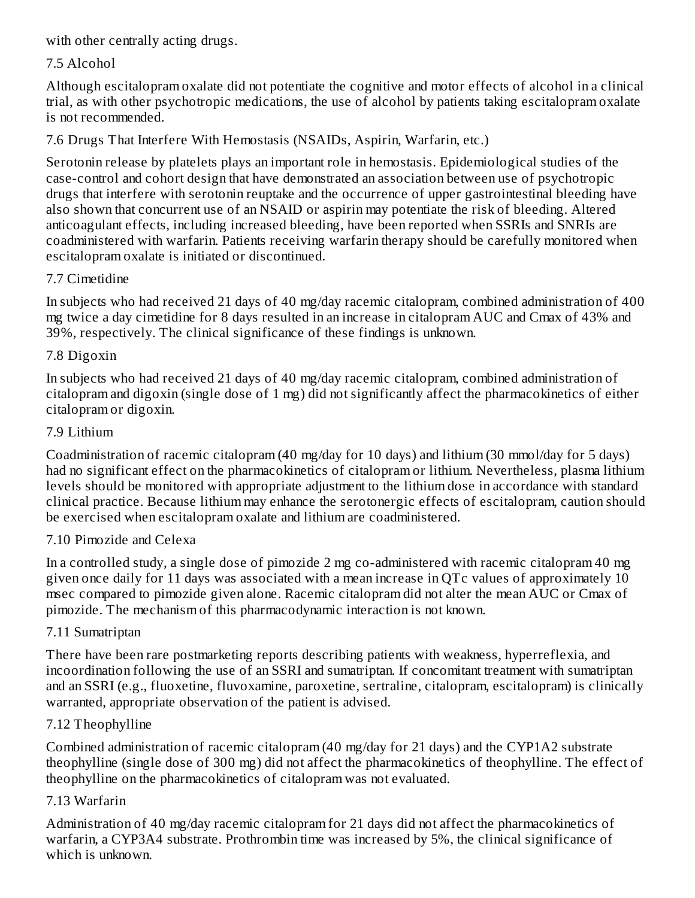with other centrally acting drugs.

## 7.5 Alcohol

Although escitalopram oxalate did not potentiate the cognitive and motor effects of alcohol in a clinical trial, as with other psychotropic medications, the use of alcohol by patients taking escitalopram oxalate is not recommended.

7.6 Drugs That Interfere With Hemostasis (NSAIDs, Aspirin, Warfarin, etc.)

Serotonin release by platelets plays an important role in hemostasis. Epidemiological studies of the case-control and cohort design that have demonstrated an association between use of psychotropic drugs that interfere with serotonin reuptake and the occurrence of upper gastrointestinal bleeding have also shown that concurrent use of an NSAID or aspirin may potentiate the risk of bleeding. Altered anticoagulant effects, including increased bleeding, have been reported when SSRIs and SNRIs are coadministered with warfarin. Patients receiving warfarin therapy should be carefully monitored when escitalopram oxalate is initiated or discontinued.

## 7.7 Cimetidine

In subjects who had received 21 days of 40 mg/day racemic citalopram, combined administration of 400 mg twice a day cimetidine for 8 days resulted in an increase in citalopram AUC and Cmax of 43% and 39%, respectively. The clinical significance of these findings is unknown.

## 7.8 Digoxin

In subjects who had received 21 days of 40 mg/day racemic citalopram, combined administration of citalopram and digoxin (single dose of 1 mg) did not significantly affect the pharmacokinetics of either citalopram or digoxin.

## 7.9 Lithium

Coadministration of racemic citalopram (40 mg/day for 10 days) and lithium (30 mmol/day for 5 days) had no significant effect on the pharmacokinetics of citalopram or lithium. Nevertheless, plasma lithium levels should be monitored with appropriate adjustment to the lithium dose in accordance with standard clinical practice. Because lithium may enhance the serotonergic effects of escitalopram, caution should be exercised when escitalopram oxalate and lithium are coadministered.

## 7.10 Pimozide and Celexa

In a controlled study, a single dose of pimozide 2 mg co-administered with racemic citalopram 40 mg given once daily for 11 days was associated with a mean increase in QTc values of approximately 10 msec compared to pimozide given alone. Racemic citalopram did not alter the mean AUC or Cmax of pimozide. The mechanism of this pharmacodynamic interaction is not known.

#### 7.11 Sumatriptan

There have been rare postmarketing reports describing patients with weakness, hyperreflexia, and incoordination following the use of an SSRI and sumatriptan. If concomitant treatment with sumatriptan and an SSRI (e.g., fluoxetine, fluvoxamine, paroxetine, sertraline, citalopram, escitalopram) is clinically warranted, appropriate observation of the patient is advised.

## 7.12 Theophylline

Combined administration of racemic citalopram (40 mg/day for 21 days) and the CYP1A2 substrate theophylline (single dose of 300 mg) did not affect the pharmacokinetics of theophylline. The effect of theophylline on the pharmacokinetics of citalopram was not evaluated.

## 7.13 Warfarin

Administration of 40 mg/day racemic citalopram for 21 days did not affect the pharmacokinetics of warfarin, a CYP3A4 substrate. Prothrombin time was increased by 5%, the clinical significance of which is unknown.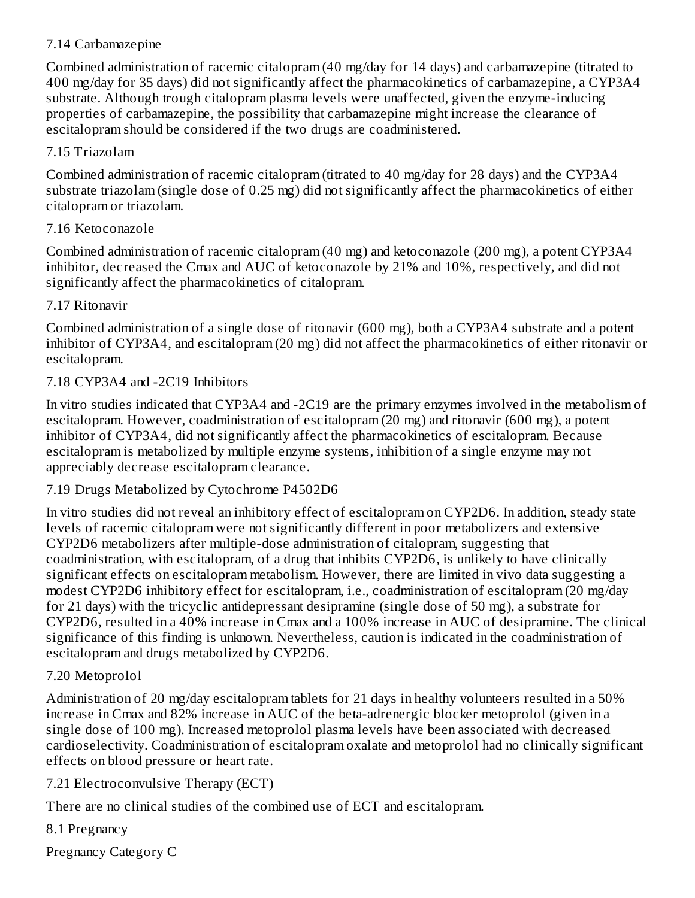#### 7.14 Carbamazepine

Combined administration of racemic citalopram (40 mg/day for 14 days) and carbamazepine (titrated to 400 mg/day for 35 days) did not significantly affect the pharmacokinetics of carbamazepine, a CYP3A4 substrate. Although trough citalopram plasma levels were unaffected, given the enzyme-inducing properties of carbamazepine, the possibility that carbamazepine might increase the clearance of escitalopram should be considered if the two drugs are coadministered.

#### 7.15 Triazolam

Combined administration of racemic citalopram (titrated to 40 mg/day for 28 days) and the CYP3A4 substrate triazolam (single dose of 0.25 mg) did not significantly affect the pharmacokinetics of either citalopram or triazolam.

#### 7.16 Ketoconazole

Combined administration of racemic citalopram (40 mg) and ketoconazole (200 mg), a potent CYP3A4 inhibitor, decreased the Cmax and AUC of ketoconazole by 21% and 10%, respectively, and did not significantly affect the pharmacokinetics of citalopram.

#### 7.17 Ritonavir

Combined administration of a single dose of ritonavir (600 mg), both a CYP3A4 substrate and a potent inhibitor of CYP3A4, and escitalopram (20 mg) did not affect the pharmacokinetics of either ritonavir or escitalopram.

## 7.18 CYP3A4 and -2C19 Inhibitors

In vitro studies indicated that CYP3A4 and -2C19 are the primary enzymes involved in the metabolism of escitalopram. However, coadministration of escitalopram (20 mg) and ritonavir (600 mg), a potent inhibitor of CYP3A4, did not significantly affect the pharmacokinetics of escitalopram. Because escitalopram is metabolized by multiple enzyme systems, inhibition of a single enzyme may not appreciably decrease escitalopram clearance.

## 7.19 Drugs Metabolized by Cytochrome P4502D6

In vitro studies did not reveal an inhibitory effect of escitalopram on CYP2D6. In addition, steady state levels of racemic citalopram were not significantly different in poor metabolizers and extensive CYP2D6 metabolizers after multiple-dose administration of citalopram, suggesting that coadministration, with escitalopram, of a drug that inhibits CYP2D6, is unlikely to have clinically significant effects on escitalopram metabolism. However, there are limited in vivo data suggesting a modest CYP2D6 inhibitory effect for escitalopram, i.e., coadministration of escitalopram (20 mg/day for 21 days) with the tricyclic antidepressant desipramine (single dose of 50 mg), a substrate for CYP2D6, resulted in a 40% increase in Cmax and a 100% increase in AUC of desipramine. The clinical significance of this finding is unknown. Nevertheless, caution is indicated in the coadministration of escitalopram and drugs metabolized by CYP2D6.

## 7.20 Metoprolol

Administration of 20 mg/day escitalopram tablets for 21 days in healthy volunteers resulted in a 50% increase in Cmax and 82% increase in AUC of the beta-adrenergic blocker metoprolol (given in a single dose of 100 mg). Increased metoprolol plasma levels have been associated with decreased cardioselectivity. Coadministration of escitalopram oxalate and metoprolol had no clinically significant effects on blood pressure or heart rate.

## 7.21 Electroconvulsive Therapy (ECT)

There are no clinical studies of the combined use of ECT and escitalopram.

8.1 Pregnancy

Pregnancy Category C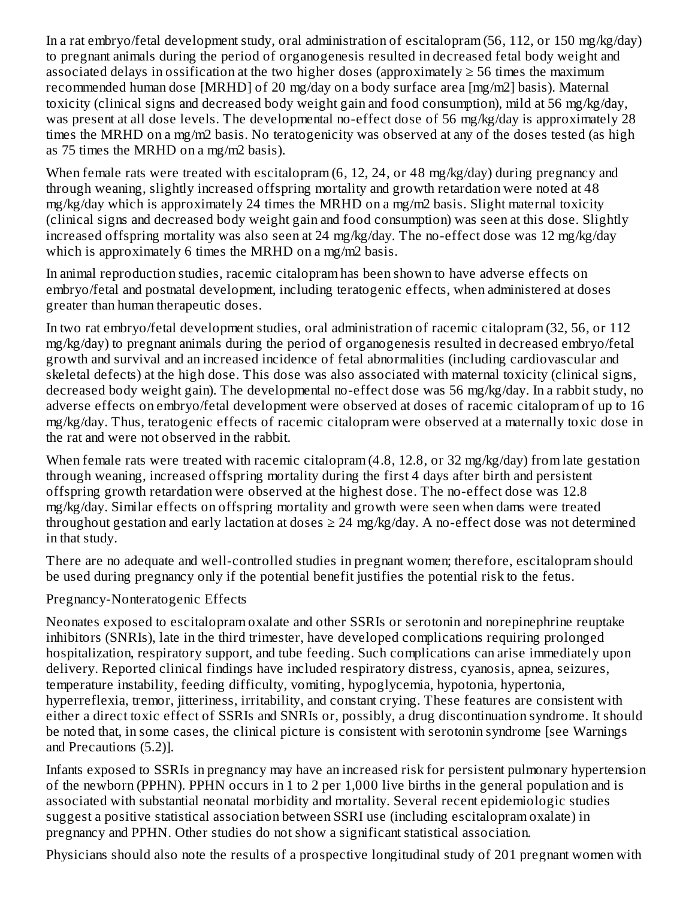In a rat embryo/fetal development study, oral administration of escitalopram (56, 112, or 150 mg/kg/day) to pregnant animals during the period of organogenesis resulted in decreased fetal body weight and associated delays in ossification at the two higher doses (approximately  $\geq$  56 times the maximum recommended human dose [MRHD] of 20 mg/day on a body surface area [mg/m2] basis). Maternal toxicity (clinical signs and decreased body weight gain and food consumption), mild at 56 mg/kg/day, was present at all dose levels. The developmental no-effect dose of 56 mg/kg/day is approximately 28 times the MRHD on a mg/m2 basis. No teratogenicity was observed at any of the doses tested (as high as 75 times the MRHD on a mg/m2 basis).

When female rats were treated with escitalopram (6, 12, 24, or 48 mg/kg/day) during pregnancy and through weaning, slightly increased offspring mortality and growth retardation were noted at 48 mg/kg/day which is approximately 24 times the MRHD on a mg/m2 basis. Slight maternal toxicity (clinical signs and decreased body weight gain and food consumption) was seen at this dose. Slightly increased offspring mortality was also seen at 24 mg/kg/day. The no-effect dose was 12 mg/kg/day which is approximately 6 times the MRHD on a mg/m2 basis.

In animal reproduction studies, racemic citalopram has been shown to have adverse effects on embryo/fetal and postnatal development, including teratogenic effects, when administered at doses greater than human therapeutic doses.

In two rat embryo/fetal development studies, oral administration of racemic citalopram (32, 56, or 112 mg/kg/day) to pregnant animals during the period of organogenesis resulted in decreased embryo/fetal growth and survival and an increased incidence of fetal abnormalities (including cardiovascular and skeletal defects) at the high dose. This dose was also associated with maternal toxicity (clinical signs, decreased body weight gain). The developmental no-effect dose was 56 mg/kg/day. In a rabbit study, no adverse effects on embryo/fetal development were observed at doses of racemic citalopram of up to 16 mg/kg/day. Thus, teratogenic effects of racemic citalopram were observed at a maternally toxic dose in the rat and were not observed in the rabbit.

When female rats were treated with racemic citalopram (4.8, 12.8, or 32 mg/kg/day) from late gestation through weaning, increased offspring mortality during the first 4 days after birth and persistent offspring growth retardation were observed at the highest dose. The no-effect dose was 12.8 mg/kg/day. Similar effects on offspring mortality and growth were seen when dams were treated throughout gestation and early lactation at doses  $\geq 24$  mg/kg/day. A no-effect dose was not determined in that study.

There are no adequate and well-controlled studies in pregnant women; therefore, escitalopram should be used during pregnancy only if the potential benefit justifies the potential risk to the fetus.

#### Pregnancy-Nonteratogenic Effects

Neonates exposed to escitalopram oxalate and other SSRIs or serotonin and norepinephrine reuptake inhibitors (SNRIs), late in the third trimester, have developed complications requiring prolonged hospitalization, respiratory support, and tube feeding. Such complications can arise immediately upon delivery. Reported clinical findings have included respiratory distress, cyanosis, apnea, seizures, temperature instability, feeding difficulty, vomiting, hypoglycemia, hypotonia, hypertonia, hyperreflexia, tremor, jitteriness, irritability, and constant crying. These features are consistent with either a direct toxic effect of SSRIs and SNRIs or, possibly, a drug discontinuation syndrome. It should be noted that, in some cases, the clinical picture is consistent with serotonin syndrome [see Warnings and Precautions (5.2)].

Infants exposed to SSRIs in pregnancy may have an increased risk for persistent pulmonary hypertension of the newborn (PPHN). PPHN occurs in 1 to 2 per 1,000 live births in the general population and is associated with substantial neonatal morbidity and mortality. Several recent epidemiologic studies suggest a positive statistical association between SSRI use (including escitalopram oxalate) in pregnancy and PPHN. Other studies do not show a significant statistical association.

Physicians should also note the results of a prospective longitudinal study of 201 pregnant women with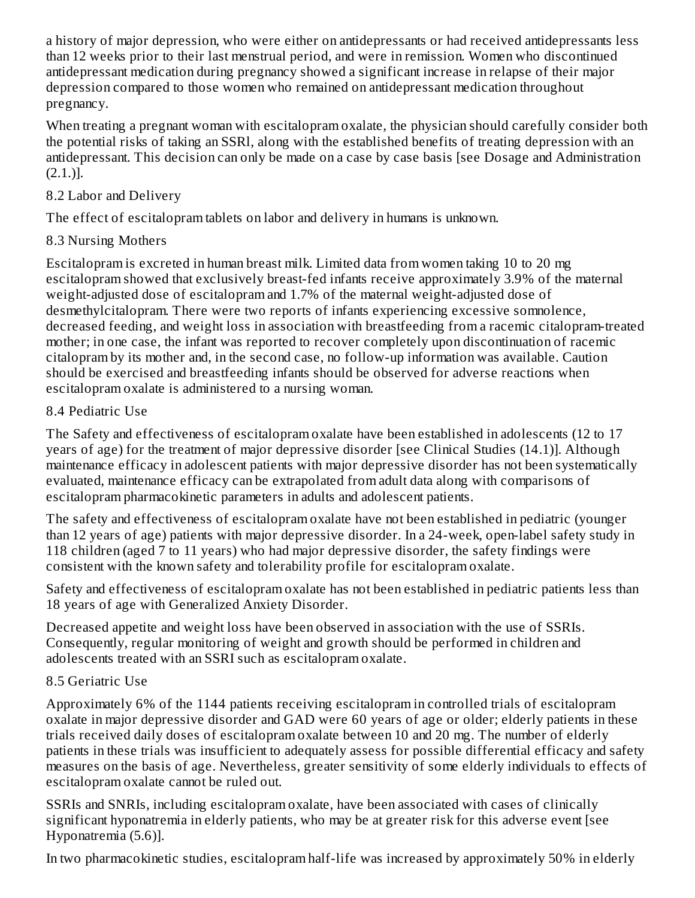a history of major depression, who were either on antidepressants or had received antidepressants less than 12 weeks prior to their last menstrual period, and were in remission. Women who discontinued antidepressant medication during pregnancy showed a significant increase in relapse of their major depression compared to those women who remained on antidepressant medication throughout pregnancy.

When treating a pregnant woman with escitalopram oxalate, the physician should carefully consider both the potential risks of taking an SSRl, along with the established benefits of treating depression with an antidepressant. This decision can only be made on a case by case basis [see Dosage and Administration  $(2.1.)$ ].

## 8.2 Labor and Delivery

The effect of escitalopram tablets on labor and delivery in humans is unknown.

# 8.3 Nursing Mothers

Escitalopram is excreted in human breast milk. Limited data from women taking 10 to 20 mg escitalopram showed that exclusively breast-fed infants receive approximately 3.9% of the maternal weight-adjusted dose of escitalopram and 1.7% of the maternal weight-adjusted dose of desmethylcitalopram. There were two reports of infants experiencing excessive somnolence, decreased feeding, and weight loss in association with breastfeeding from a racemic citalopram-treated mother; in one case, the infant was reported to recover completely upon discontinuation of racemic citalopram by its mother and, in the second case, no follow-up information was available. Caution should be exercised and breastfeeding infants should be observed for adverse reactions when escitalopram oxalate is administered to a nursing woman.

# 8.4 Pediatric Use

The Safety and effectiveness of escitalopram oxalate have been established in adolescents (12 to 17 years of age) for the treatment of major depressive disorder [see Clinical Studies (14.1)]. Although maintenance efficacy in adolescent patients with major depressive disorder has not been systematically evaluated, maintenance efficacy can be extrapolated from adult data along with comparisons of escitalopram pharmacokinetic parameters in adults and adolescent patients.

The safety and effectiveness of escitalopram oxalate have not been established in pediatric (younger than 12 years of age) patients with major depressive disorder. In a 24-week, open-label safety study in 118 children (aged 7 to 11 years) who had major depressive disorder, the safety findings were consistent with the known safety and tolerability profile for escitalopram oxalate.

Safety and effectiveness of escitalopram oxalate has not been established in pediatric patients less than 18 years of age with Generalized Anxiety Disorder.

Decreased appetite and weight loss have been observed in association with the use of SSRIs. Consequently, regular monitoring of weight and growth should be performed in children and adolescents treated with an SSRI such as escitalopram oxalate.

# 8.5 Geriatric Use

Approximately 6% of the 1144 patients receiving escitalopram in controlled trials of escitalopram oxalate in major depressive disorder and GAD were 60 years of age or older; elderly patients in these trials received daily doses of escitalopram oxalate between 10 and 20 mg. The number of elderly patients in these trials was insufficient to adequately assess for possible differential efficacy and safety measures on the basis of age. Nevertheless, greater sensitivity of some elderly individuals to effects of escitalopram oxalate cannot be ruled out.

SSRIs and SNRIs, including escitalopram oxalate, have been associated with cases of clinically significant hyponatremia in elderly patients, who may be at greater risk for this adverse event [see Hyponatremia (5.6)].

In two pharmacokinetic studies, escitalopram half-life was increased by approximately 50% in elderly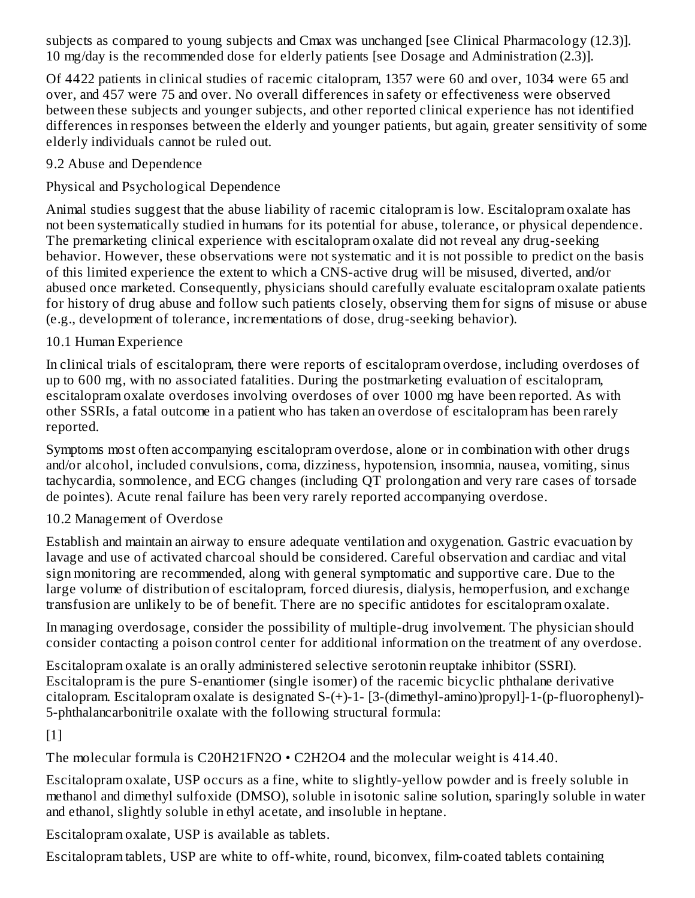subjects as compared to young subjects and Cmax was unchanged [see Clinical Pharmacology (12.3)]. 10 mg/day is the recommended dose for elderly patients [see Dosage and Administration (2.3)].

Of 4422 patients in clinical studies of racemic citalopram, 1357 were 60 and over, 1034 were 65 and over, and 457 were 75 and over. No overall differences in safety or effectiveness were observed between these subjects and younger subjects, and other reported clinical experience has not identified differences in responses between the elderly and younger patients, but again, greater sensitivity of some elderly individuals cannot be ruled out.

#### 9.2 Abuse and Dependence

## Physical and Psychological Dependence

Animal studies suggest that the abuse liability of racemic citalopram is low. Escitalopram oxalate has not been systematically studied in humans for its potential for abuse, tolerance, or physical dependence. The premarketing clinical experience with escitalopram oxalate did not reveal any drug-seeking behavior. However, these observations were not systematic and it is not possible to predict on the basis of this limited experience the extent to which a CNS-active drug will be misused, diverted, and/or abused once marketed. Consequently, physicians should carefully evaluate escitalopram oxalate patients for history of drug abuse and follow such patients closely, observing them for signs of misuse or abuse (e.g., development of tolerance, incrementations of dose, drug-seeking behavior).

#### 10.1 Human Experience

In clinical trials of escitalopram, there were reports of escitalopram overdose, including overdoses of up to 600 mg, with no associated fatalities. During the postmarketing evaluation of escitalopram, escitalopram oxalate overdoses involving overdoses of over 1000 mg have been reported. As with other SSRIs, a fatal outcome in a patient who has taken an overdose of escitalopram has been rarely reported.

Symptoms most often accompanying escitalopram overdose, alone or in combination with other drugs and/or alcohol, included convulsions, coma, dizziness, hypotension, insomnia, nausea, vomiting, sinus tachycardia, somnolence, and ECG changes (including QT prolongation and very rare cases of torsade de pointes). Acute renal failure has been very rarely reported accompanying overdose.

## 10.2 Management of Overdose

Establish and maintain an airway to ensure adequate ventilation and oxygenation. Gastric evacuation by lavage and use of activated charcoal should be considered. Careful observation and cardiac and vital sign monitoring are recommended, along with general symptomatic and supportive care. Due to the large volume of distribution of escitalopram, forced diuresis, dialysis, hemoperfusion, and exchange transfusion are unlikely to be of benefit. There are no specific antidotes for escitalopram oxalate.

In managing overdosage, consider the possibility of multiple-drug involvement. The physician should consider contacting a poison control center for additional information on the treatment of any overdose.

Escitalopram oxalate is an orally administered selective serotonin reuptake inhibitor (SSRI). Escitalopram is the pure S-enantiomer (single isomer) of the racemic bicyclic phthalane derivative citalopram. Escitalopram oxalate is designated S-(+)-1- [3-(dimethyl-amino)propyl]-1-(p-fluorophenyl)- 5-phthalancarbonitrile oxalate with the following structural formula:

## [1]

The molecular formula is C20H21FN2O • C2H2O4 and the molecular weight is 414.40.

Escitalopram oxalate, USP occurs as a fine, white to slightly-yellow powder and is freely soluble in methanol and dimethyl sulfoxide (DMSO), soluble in isotonic saline solution, sparingly soluble in water and ethanol, slightly soluble in ethyl acetate, and insoluble in heptane.

Escitalopram oxalate, USP is available as tablets.

Escitalopram tablets, USP are white to off-white, round, biconvex, film-coated tablets containing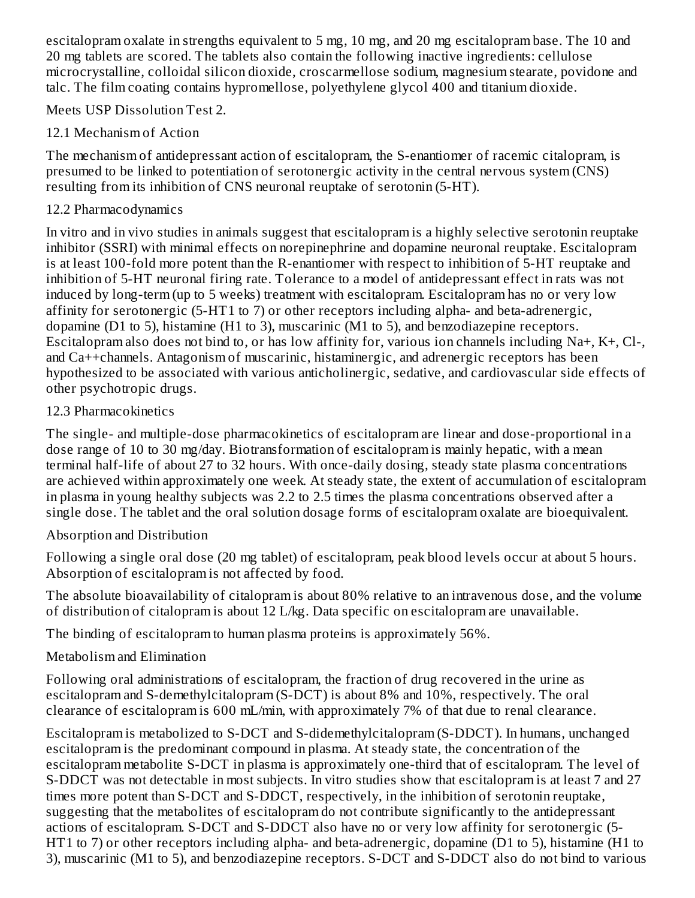escitalopram oxalate in strengths equivalent to 5 mg, 10 mg, and 20 mg escitalopram base. The 10 and 20 mg tablets are scored. The tablets also contain the following inactive ingredients: cellulose microcrystalline, colloidal silicon dioxide, croscarmellose sodium, magnesium stearate, povidone and talc. The film coating contains hypromellose, polyethylene glycol 400 and titanium dioxide.

Meets USP Dissolution Test 2.

# 12.1 Mechanism of Action

The mechanism of antidepressant action of escitalopram, the S-enantiomer of racemic citalopram, is presumed to be linked to potentiation of serotonergic activity in the central nervous system (CNS) resulting from its inhibition of CNS neuronal reuptake of serotonin (5-HT).

## 12.2 Pharmacodynamics

In vitro and in vivo studies in animals suggest that escitalopram is a highly selective serotonin reuptake inhibitor (SSRI) with minimal effects on norepinephrine and dopamine neuronal reuptake. Escitalopram is at least 100-fold more potent than the R-enantiomer with respect to inhibition of 5-HT reuptake and inhibition of 5-HT neuronal firing rate. Tolerance to a model of antidepressant effect in rats was not induced by long-term (up to 5 weeks) treatment with escitalopram. Escitalopram has no or very low affinity for serotonergic (5-HT1 to 7) or other receptors including alpha- and beta-adrenergic, dopamine (D1 to 5), histamine (H1 to 3), muscarinic (M1 to 5), and benzodiazepine receptors. Escitalopram also does not bind to, or has low affinity for, various ion channels including Na+, K+, Cl-, and Ca++channels. Antagonism of muscarinic, histaminergic, and adrenergic receptors has been hypothesized to be associated with various anticholinergic, sedative, and cardiovascular side effects of other psychotropic drugs.

## 12.3 Pharmacokinetics

The single- and multiple-dose pharmacokinetics of escitalopram are linear and dose-proportional in a dose range of 10 to 30 mg/day. Biotransformation of escitalopram is mainly hepatic, with a mean terminal half-life of about 27 to 32 hours. With once-daily dosing, steady state plasma concentrations are achieved within approximately one week. At steady state, the extent of accumulation of escitalopram in plasma in young healthy subjects was 2.2 to 2.5 times the plasma concentrations observed after a single dose. The tablet and the oral solution dosage forms of escitalopram oxalate are bioequivalent.

## Absorption and Distribution

Following a single oral dose (20 mg tablet) of escitalopram, peak blood levels occur at about 5 hours. Absorption of escitalopram is not affected by food.

The absolute bioavailability of citalopram is about 80% relative to an intravenous dose, and the volume of distribution of citalopram is about 12 L/kg. Data specific on escitalopram are unavailable.

The binding of escitalopram to human plasma proteins is approximately 56%.

## Metabolism and Elimination

Following oral administrations of escitalopram, the fraction of drug recovered in the urine as escitalopram and S-demethylcitalopram (S-DCT) is about 8% and 10%, respectively. The oral clearance of escitalopram is 600 mL/min, with approximately 7% of that due to renal clearance.

Escitalopram is metabolized to S-DCT and S-didemethylcitalopram (S-DDCT). In humans, unchanged escitalopram is the predominant compound in plasma. At steady state, the concentration of the escitalopram metabolite S-DCT in plasma is approximately one-third that of escitalopram. The level of S-DDCT was not detectable in most subjects. In vitro studies show that escitalopram is at least 7 and 27 times more potent than S-DCT and S-DDCT, respectively, in the inhibition of serotonin reuptake, suggesting that the metabolites of escitalopram do not contribute significantly to the antidepressant actions of escitalopram. S-DCT and S-DDCT also have no or very low affinity for serotonergic (5- HT1 to 7) or other receptors including alpha- and beta-adrenergic, dopamine (D1 to 5), histamine (H1 to 3), muscarinic (M1 to 5), and benzodiazepine receptors. S-DCT and S-DDCT also do not bind to various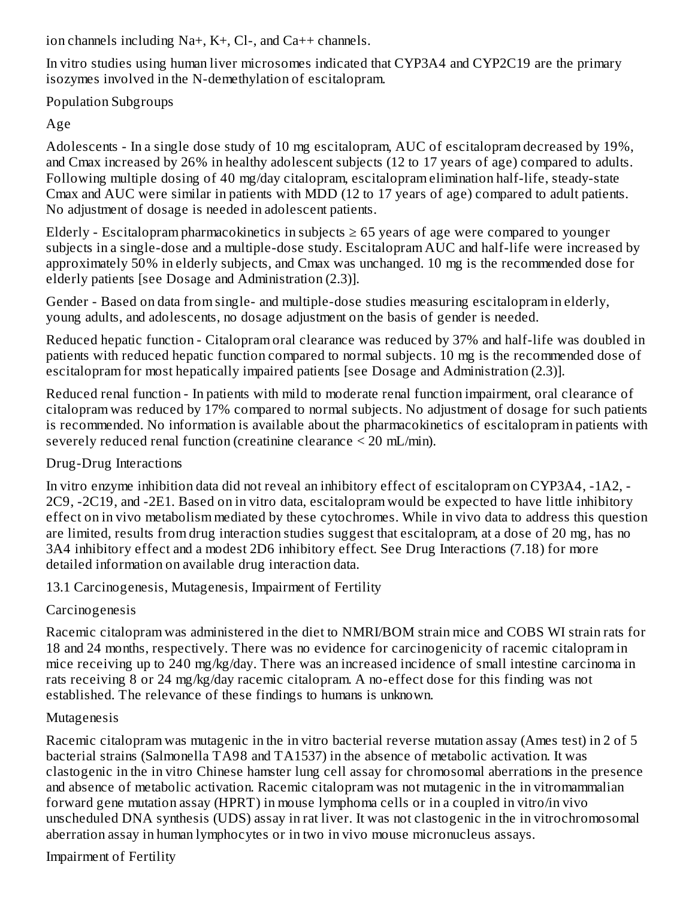ion channels including Na+, K+, Cl-, and Ca++ channels.

In vitro studies using human liver microsomes indicated that CYP3A4 and CYP2C19 are the primary isozymes involved in the N-demethylation of escitalopram.

#### Population Subgroups

#### Age

Adolescents - In a single dose study of 10 mg escitalopram, AUC of escitalopram decreased by 19%, and Cmax increased by 26% in healthy adolescent subjects (12 to 17 years of age) compared to adults. Following multiple dosing of 40 mg/day citalopram, escitalopram elimination half-life, steady-state Cmax and AUC were similar in patients with MDD (12 to 17 years of age) compared to adult patients. No adjustment of dosage is needed in adolescent patients.

Elderly - Escitalopram pharmacokinetics in subjects  $\geq 65$  years of age were compared to younger subjects in a single-dose and a multiple-dose study. Escitalopram AUC and half-life were increased by approximately 50% in elderly subjects, and Cmax was unchanged. 10 mg is the recommended dose for elderly patients [see Dosage and Administration (2.3)].

Gender - Based on data from single- and multiple-dose studies measuring escitalopram in elderly, young adults, and adolescents, no dosage adjustment on the basis of gender is needed.

Reduced hepatic function - Citalopram oral clearance was reduced by 37% and half-life was doubled in patients with reduced hepatic function compared to normal subjects. 10 mg is the recommended dose of escitalopram for most hepatically impaired patients [see Dosage and Administration (2.3)].

Reduced renal function - In patients with mild to moderate renal function impairment, oral clearance of citalopram was reduced by 17% compared to normal subjects. No adjustment of dosage for such patients is recommended. No information is available about the pharmacokinetics of escitalopram in patients with severely reduced renal function (creatinine clearance < 20 mL/min).

## Drug-Drug Interactions

In vitro enzyme inhibition data did not reveal an inhibitory effect of escitalopram on CYP3A4, -1A2, - 2C9, -2C19, and -2E1. Based on in vitro data, escitalopram would be expected to have little inhibitory effect on in vivo metabolism mediated by these cytochromes. While in vivo data to address this question are limited, results from drug interaction studies suggest that escitalopram, at a dose of 20 mg, has no 3A4 inhibitory effect and a modest 2D6 inhibitory effect. See Drug Interactions (7.18) for more detailed information on available drug interaction data.

## 13.1 Carcinogenesis, Mutagenesis, Impairment of Fertility

## Carcinogenesis

Racemic citalopram was administered in the diet to NMRI/BOM strain mice and COBS WI strain rats for 18 and 24 months, respectively. There was no evidence for carcinogenicity of racemic citalopram in mice receiving up to 240 mg/kg/day. There was an increased incidence of small intestine carcinoma in rats receiving 8 or 24 mg/kg/day racemic citalopram. A no-effect dose for this finding was not established. The relevance of these findings to humans is unknown.

## Mutagenesis

Racemic citalopram was mutagenic in the in vitro bacterial reverse mutation assay (Ames test) in 2 of 5 bacterial strains (Salmonella TA98 and TA1537) in the absence of metabolic activation. It was clastogenic in the in vitro Chinese hamster lung cell assay for chromosomal aberrations in the presence and absence of metabolic activation. Racemic citalopram was not mutagenic in the in vitromammalian forward gene mutation assay (HPRT) in mouse lymphoma cells or in a coupled in vitro/in vivo unscheduled DNA synthesis (UDS) assay in rat liver. It was not clastogenic in the in vitrochromosomal aberration assay in human lymphocytes or in two in vivo mouse micronucleus assays.

## Impairment of Fertility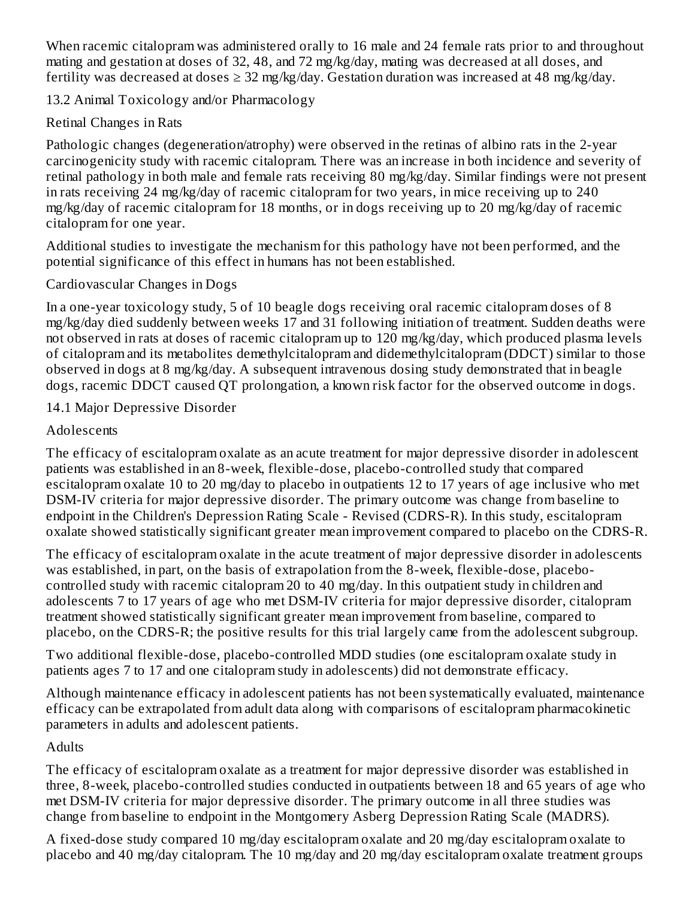When racemic citalopram was administered orally to 16 male and 24 female rats prior to and throughout mating and gestation at doses of 32, 48, and 72 mg/kg/day, mating was decreased at all doses, and fertility was decreased at doses  $\geq$  32 mg/kg/day. Gestation duration was increased at 48 mg/kg/day.

13.2 Animal Toxicology and/or Pharmacology

# Retinal Changes in Rats

Pathologic changes (degeneration/atrophy) were observed in the retinas of albino rats in the 2-year carcinogenicity study with racemic citalopram. There was an increase in both incidence and severity of retinal pathology in both male and female rats receiving 80 mg/kg/day. Similar findings were not present in rats receiving 24 mg/kg/day of racemic citalopram for two years, in mice receiving up to 240 mg/kg/day of racemic citalopram for 18 months, or in dogs receiving up to 20 mg/kg/day of racemic citalopram for one year.

Additional studies to investigate the mechanism for this pathology have not been performed, and the potential significance of this effect in humans has not been established.

# Cardiovascular Changes in Dogs

In a one-year toxicology study, 5 of 10 beagle dogs receiving oral racemic citalopram doses of 8 mg/kg/day died suddenly between weeks 17 and 31 following initiation of treatment. Sudden deaths were not observed in rats at doses of racemic citalopram up to 120 mg/kg/day, which produced plasma levels of citalopram and its metabolites demethylcitalopram and didemethylcitalopram (DDCT) similar to those observed in dogs at 8 mg/kg/day. A subsequent intravenous dosing study demonstrated that in beagle dogs, racemic DDCT caused QT prolongation, a known risk factor for the observed outcome in dogs.

## 14.1 Major Depressive Disorder

# Adolescents

The efficacy of escitalopram oxalate as an acute treatment for major depressive disorder in adolescent patients was established in an 8-week, flexible-dose, placebo-controlled study that compared escitalopram oxalate 10 to 20 mg/day to placebo in outpatients 12 to 17 years of age inclusive who met DSM-IV criteria for major depressive disorder. The primary outcome was change from baseline to endpoint in the Children's Depression Rating Scale - Revised (CDRS-R). In this study, escitalopram oxalate showed statistically significant greater mean improvement compared to placebo on the CDRS-R.

The efficacy of escitalopram oxalate in the acute treatment of major depressive disorder in adolescents was established, in part, on the basis of extrapolation from the 8-week, flexible-dose, placebocontrolled study with racemic citalopram 20 to 40 mg/day. In this outpatient study in children and adolescents 7 to 17 years of age who met DSM-IV criteria for major depressive disorder, citalopram treatment showed statistically significant greater mean improvement from baseline, compared to placebo, on the CDRS-R; the positive results for this trial largely came from the adolescent subgroup.

Two additional flexible-dose, placebo-controlled MDD studies (one escitalopram oxalate study in patients ages 7 to 17 and one citalopram study in adolescents) did not demonstrate efficacy.

Although maintenance efficacy in adolescent patients has not been systematically evaluated, maintenance efficacy can be extrapolated from adult data along with comparisons of escitalopram pharmacokinetic parameters in adults and adolescent patients.

# Adults

The efficacy of escitalopram oxalate as a treatment for major depressive disorder was established in three, 8-week, placebo-controlled studies conducted in outpatients between 18 and 65 years of age who met DSM-IV criteria for major depressive disorder. The primary outcome in all three studies was change from baseline to endpoint in the Montgomery Asberg Depression Rating Scale (MADRS).

A fixed-dose study compared 10 mg/day escitalopram oxalate and 20 mg/day escitalopram oxalate to placebo and 40 mg/day citalopram. The 10 mg/day and 20 mg/day escitalopram oxalate treatment groups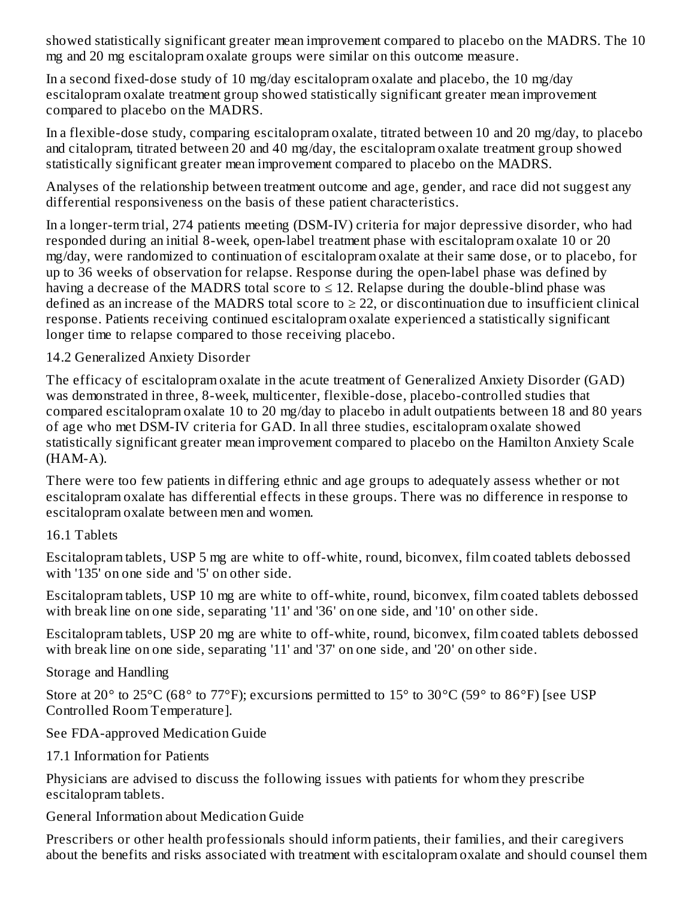showed statistically significant greater mean improvement compared to placebo on the MADRS. The 10 mg and 20 mg escitalopram oxalate groups were similar on this outcome measure.

In a second fixed-dose study of 10 mg/day escitalopram oxalate and placebo, the 10 mg/day escitalopram oxalate treatment group showed statistically significant greater mean improvement compared to placebo on the MADRS.

In a flexible-dose study, comparing escitalopram oxalate, titrated between 10 and 20 mg/day, to placebo and citalopram, titrated between 20 and 40 mg/day, the escitalopram oxalate treatment group showed statistically significant greater mean improvement compared to placebo on the MADRS.

Analyses of the relationship between treatment outcome and age, gender, and race did not suggest any differential responsiveness on the basis of these patient characteristics.

In a longer-term trial, 274 patients meeting (DSM-IV) criteria for major depressive disorder, who had responded during an initial 8-week, open-label treatment phase with escitalopram oxalate 10 or 20 mg/day, were randomized to continuation of escitalopram oxalate at their same dose, or to placebo, for up to 36 weeks of observation for relapse. Response during the open-label phase was defined by having a decrease of the MADRS total score to  $\leq$  12. Relapse during the double-blind phase was defined as an increase of the MADRS total score to  $\geq$  22, or discontinuation due to insufficient clinical response. Patients receiving continued escitalopram oxalate experienced a statistically significant longer time to relapse compared to those receiving placebo.

#### 14.2 Generalized Anxiety Disorder

The efficacy of escitalopram oxalate in the acute treatment of Generalized Anxiety Disorder (GAD) was demonstrated in three, 8-week, multicenter, flexible-dose, placebo-controlled studies that compared escitalopram oxalate 10 to 20 mg/day to placebo in adult outpatients between 18 and 80 years of age who met DSM-IV criteria for GAD. In all three studies, escitalopram oxalate showed statistically significant greater mean improvement compared to placebo on the Hamilton Anxiety Scale  $(HAM-A)$ .

There were too few patients in differing ethnic and age groups to adequately assess whether or not escitalopram oxalate has differential effects in these groups. There was no difference in response to escitalopram oxalate between men and women.

#### 16.1 Tablets

Escitalopram tablets, USP 5 mg are white to off-white, round, biconvex, film coated tablets debossed with '135' on one side and '5' on other side.

Escitalopram tablets, USP 10 mg are white to off-white, round, biconvex, film coated tablets debossed with break line on one side, separating '11' and '36' on one side, and '10' on other side.

Escitalopram tablets, USP 20 mg are white to off-white, round, biconvex, film coated tablets debossed with break line on one side, separating '11' and '37' on one side, and '20' on other side.

## Storage and Handling

Store at 20 $\degree$  to 25 $\degree$ C (68 $\degree$  to 77 $\degree$ F); excursions permitted to 15 $\degree$  to 30 $\degree$ C (59 $\degree$  to 86 $\degree$ F) [see USP Controlled Room Temperature].

See FDA-approved Medication Guide

## 17.1 Information for Patients

Physicians are advised to discuss the following issues with patients for whom they prescribe escitalopram tablets.

General Information about Medication Guide

Prescribers or other health professionals should inform patients, their families, and their caregivers about the benefits and risks associated with treatment with escitalopram oxalate and should counsel them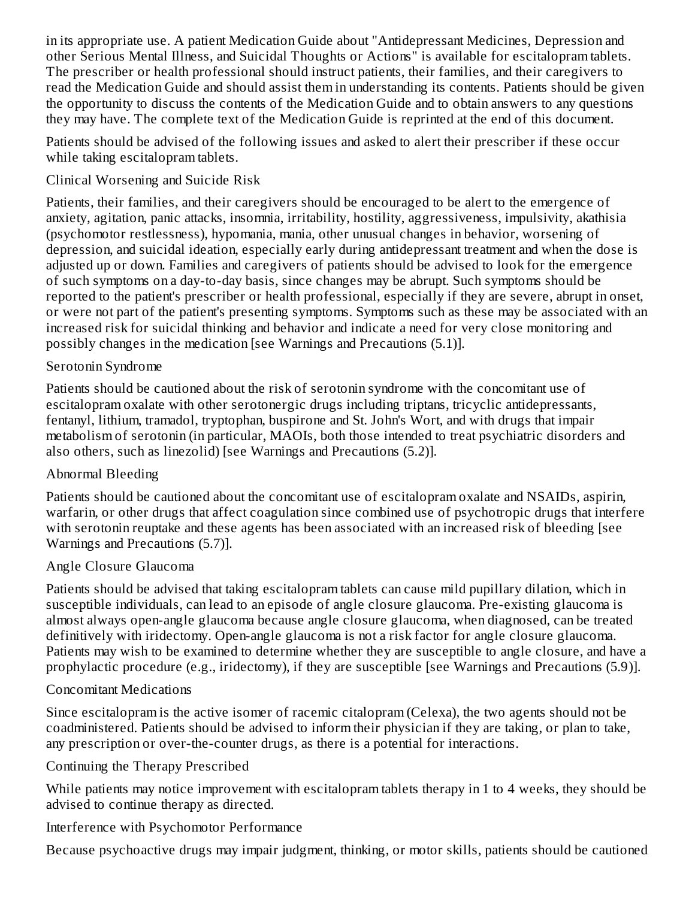in its appropriate use. A patient Medication Guide about "Antidepressant Medicines, Depression and other Serious Mental Illness, and Suicidal Thoughts or Actions" is available for escitalopram tablets. The prescriber or health professional should instruct patients, their families, and their caregivers to read the Medication Guide and should assist them in understanding its contents. Patients should be given the opportunity to discuss the contents of the Medication Guide and to obtain answers to any questions they may have. The complete text of the Medication Guide is reprinted at the end of this document.

Patients should be advised of the following issues and asked to alert their prescriber if these occur while taking escitalopram tablets.

#### Clinical Worsening and Suicide Risk

Patients, their families, and their caregivers should be encouraged to be alert to the emergence of anxiety, agitation, panic attacks, insomnia, irritability, hostility, aggressiveness, impulsivity, akathisia (psychomotor restlessness), hypomania, mania, other unusual changes in behavior, worsening of depression, and suicidal ideation, especially early during antidepressant treatment and when the dose is adjusted up or down. Families and caregivers of patients should be advised to look for the emergence of such symptoms on a day-to-day basis, since changes may be abrupt. Such symptoms should be reported to the patient's prescriber or health professional, especially if they are severe, abrupt in onset, or were not part of the patient's presenting symptoms. Symptoms such as these may be associated with an increased risk for suicidal thinking and behavior and indicate a need for very close monitoring and possibly changes in the medication [see Warnings and Precautions (5.1)].

#### Serotonin Syndrome

Patients should be cautioned about the risk of serotonin syndrome with the concomitant use of escitalopram oxalate with other serotonergic drugs including triptans, tricyclic antidepressants, fentanyl, lithium, tramadol, tryptophan, buspirone and St. John's Wort, and with drugs that impair metabolism of serotonin (in particular, MAOIs, both those intended to treat psychiatric disorders and also others, such as linezolid) [see Warnings and Precautions (5.2)].

#### Abnormal Bleeding

Patients should be cautioned about the concomitant use of escitalopram oxalate and NSAIDs, aspirin, warfarin, or other drugs that affect coagulation since combined use of psychotropic drugs that interfere with serotonin reuptake and these agents has been associated with an increased risk of bleeding [see Warnings and Precautions (5.7)].

#### Angle Closure Glaucoma

Patients should be advised that taking escitalopram tablets can cause mild pupillary dilation, which in susceptible individuals, can lead to an episode of angle closure glaucoma. Pre-existing glaucoma is almost always open-angle glaucoma because angle closure glaucoma, when diagnosed, can be treated definitively with iridectomy. Open-angle glaucoma is not a risk factor for angle closure glaucoma. Patients may wish to be examined to determine whether they are susceptible to angle closure, and have a prophylactic procedure (e.g., iridectomy), if they are susceptible [see Warnings and Precautions (5.9)].

#### Concomitant Medications

Since escitalopram is the active isomer of racemic citalopram (Celexa), the two agents should not be coadministered. Patients should be advised to inform their physician if they are taking, or plan to take, any prescription or over-the-counter drugs, as there is a potential for interactions.

#### Continuing the Therapy Prescribed

While patients may notice improvement with escitalopram tablets therapy in 1 to 4 weeks, they should be advised to continue therapy as directed.

#### Interference with Psychomotor Performance

Because psychoactive drugs may impair judgment, thinking, or motor skills, patients should be cautioned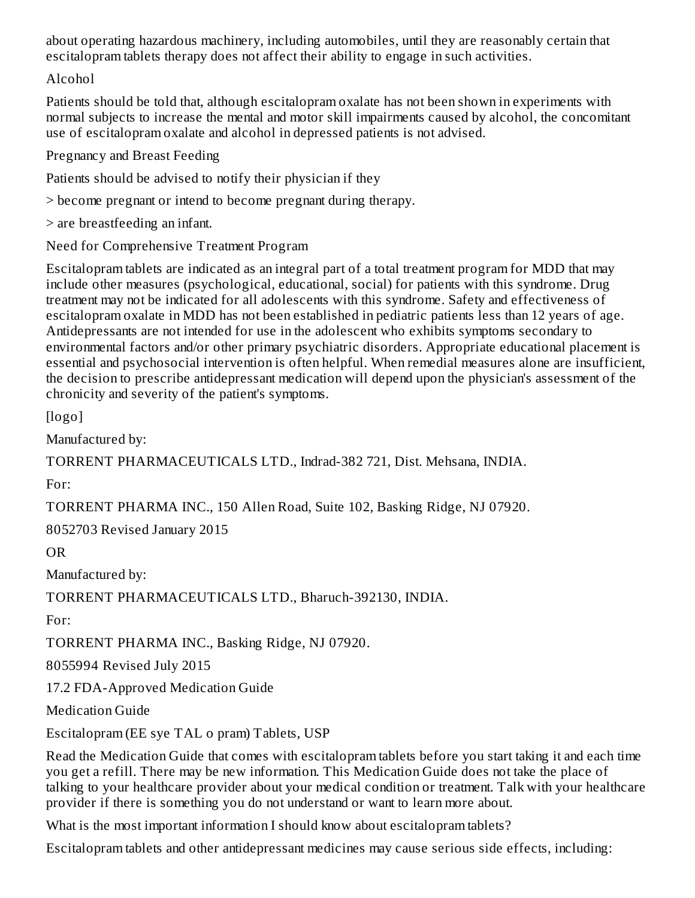about operating hazardous machinery, including automobiles, until they are reasonably certain that escitalopram tablets therapy does not affect their ability to engage in such activities.

Alcohol

Patients should be told that, although escitalopram oxalate has not been shown in experiments with normal subjects to increase the mental and motor skill impairments caused by alcohol, the concomitant use of escitalopram oxalate and alcohol in depressed patients is not advised.

Pregnancy and Breast Feeding

Patients should be advised to notify their physician if they

> become pregnant or intend to become pregnant during therapy.

> are breastfeeding an infant.

Need for Comprehensive Treatment Program

Escitalopram tablets are indicated as an integral part of a total treatment program for MDD that may include other measures (psychological, educational, social) for patients with this syndrome. Drug treatment may not be indicated for all adolescents with this syndrome. Safety and effectiveness of escitalopram oxalate in MDD has not been established in pediatric patients less than 12 years of age. Antidepressants are not intended for use in the adolescent who exhibits symptoms secondary to environmental factors and/or other primary psychiatric disorders. Appropriate educational placement is essential and psychosocial intervention is often helpful. When remedial measures alone are insufficient, the decision to prescribe antidepressant medication will depend upon the physician's assessment of the chronicity and severity of the patient's symptoms.

[logo]

Manufactured by:

TORRENT PHARMACEUTICALS LTD., Indrad-382 721, Dist. Mehsana, INDIA.

For:

TORRENT PHARMA INC., 150 Allen Road, Suite 102, Basking Ridge, NJ 07920.

8052703 Revised January 2015

OR

Manufactured by:

TORRENT PHARMACEUTICALS LTD., Bharuch-392130, INDIA.

For:

TORRENT PHARMA INC., Basking Ridge, NJ 07920.

8055994 Revised July 2015

17.2 FDA-Approved Medication Guide

Medication Guide

Escitalopram (EE sye TAL o pram) Tablets, USP

Read the Medication Guide that comes with escitalopram tablets before you start taking it and each time you get a refill. There may be new information. This Medication Guide does not take the place of talking to your healthcare provider about your medical condition or treatment. Talk with your healthcare provider if there is something you do not understand or want to learn more about.

What is the most important information I should know about escitalopram tablets?

Escitalopram tablets and other antidepressant medicines may cause serious side effects, including: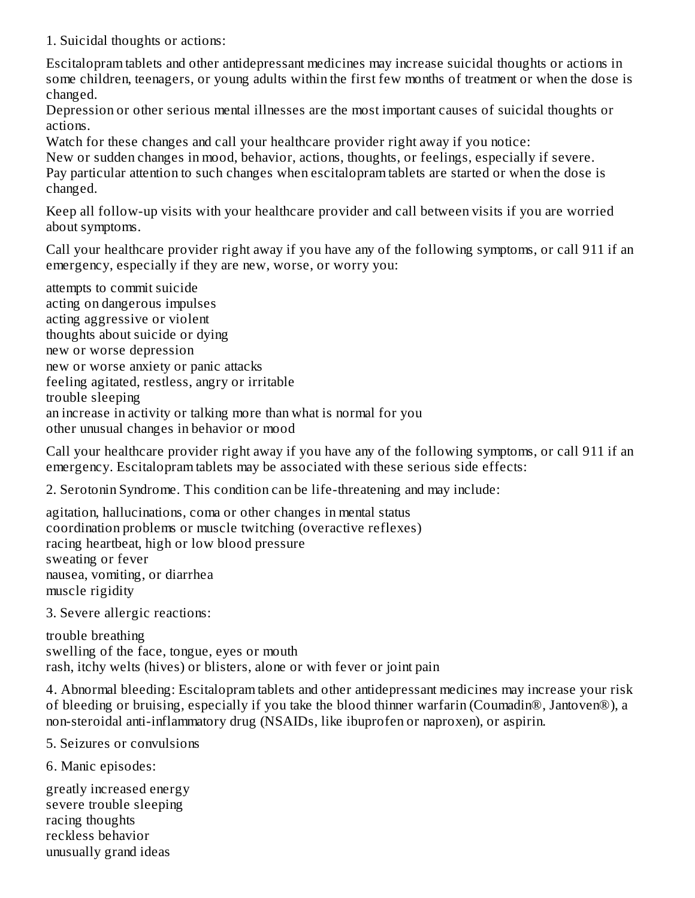1. Suicidal thoughts or actions:

Escitalopram tablets and other antidepressant medicines may increase suicidal thoughts or actions in some children, teenagers, or young adults within the first few months of treatment or when the dose is changed.

Depression or other serious mental illnesses are the most important causes of suicidal thoughts or actions.

Watch for these changes and call your healthcare provider right away if you notice:

New or sudden changes in mood, behavior, actions, thoughts, or feelings, especially if severe. Pay particular attention to such changes when escitalopram tablets are started or when the dose is changed.

Keep all follow-up visits with your healthcare provider and call between visits if you are worried about symptoms.

Call your healthcare provider right away if you have any of the following symptoms, or call 911 if an emergency, especially if they are new, worse, or worry you:

attempts to commit suicide acting on dangerous impulses acting aggressive or violent thoughts about suicide or dying new or worse depression new or worse anxiety or panic attacks feeling agitated, restless, angry or irritable trouble sleeping an increase in activity or talking more than what is normal for you other unusual changes in behavior or mood

Call your healthcare provider right away if you have any of the following symptoms, or call 911 if an emergency. Escitalopram tablets may be associated with these serious side effects:

2. Serotonin Syndrome. This condition can be life-threatening and may include:

agitation, hallucinations, coma or other changes in mental status coordination problems or muscle twitching (overactive reflexes) racing heartbeat, high or low blood pressure sweating or fever nausea, vomiting, or diarrhea muscle rigidity

3. Severe allergic reactions:

trouble breathing swelling of the face, tongue, eyes or mouth rash, itchy welts (hives) or blisters, alone or with fever or joint pain

4. Abnormal bleeding: Escitalopram tablets and other antidepressant medicines may increase your risk of bleeding or bruising, especially if you take the blood thinner warfarin (Coumadin®, Jantoven®), a non-steroidal anti-inflammatory drug (NSAIDs, like ibuprofen or naproxen), or aspirin.

5. Seizures or convulsions

6. Manic episodes:

greatly increased energy severe trouble sleeping racing thoughts reckless behavior unusually grand ideas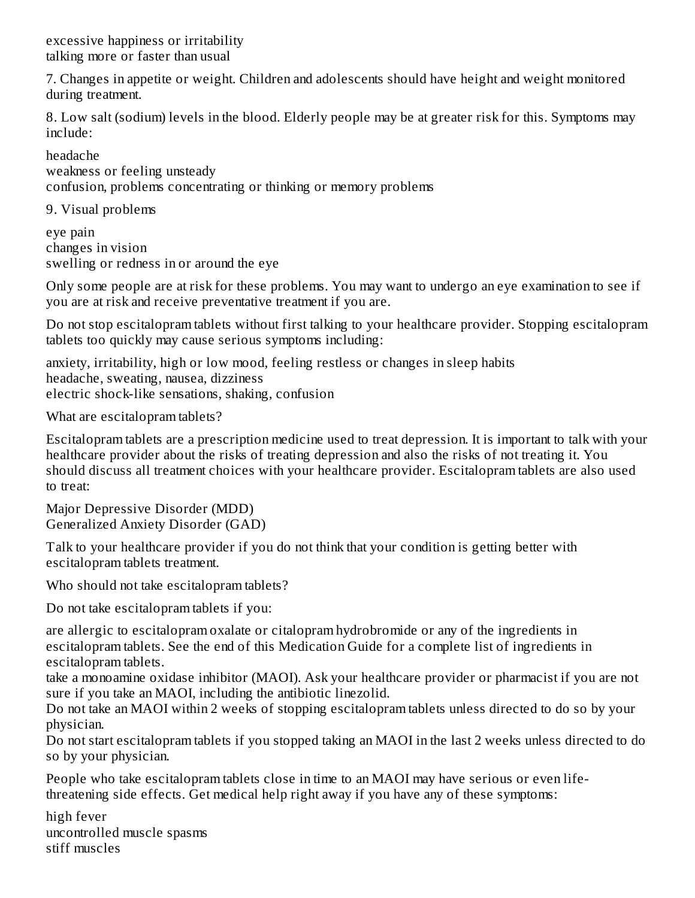excessive happiness or irritability talking more or faster than usual

7. Changes in appetite or weight. Children and adolescents should have height and weight monitored during treatment.

8. Low salt (sodium) levels in the blood. Elderly people may be at greater risk for this. Symptoms may include:

headache weakness or feeling unsteady confusion, problems concentrating or thinking or memory problems

9. Visual problems

eye pain changes in vision swelling or redness in or around the eye

Only some people are at risk for these problems. You may want to undergo an eye examination to see if you are at risk and receive preventative treatment if you are.

Do not stop escitalopram tablets without first talking to your healthcare provider. Stopping escitalopram tablets too quickly may cause serious symptoms including:

anxiety, irritability, high or low mood, feeling restless or changes in sleep habits headache, sweating, nausea, dizziness electric shock-like sensations, shaking, confusion

What are escitalopram tablets?

Escitalopram tablets are a prescription medicine used to treat depression. It is important to talk with your healthcare provider about the risks of treating depression and also the risks of not treating it. You should discuss all treatment choices with your healthcare provider. Escitalopram tablets are also used to treat:

Major Depressive Disorder (MDD) Generalized Anxiety Disorder (GAD)

Talk to your healthcare provider if you do not think that your condition is getting better with escitalopram tablets treatment.

Who should not take escitalopram tablets?

Do not take escitalopram tablets if you:

are allergic to escitalopram oxalate or citalopram hydrobromide or any of the ingredients in escitalopram tablets. See the end of this Medication Guide for a complete list of ingredients in escitalopram tablets.

take a monoamine oxidase inhibitor (MAOI). Ask your healthcare provider or pharmacist if you are not sure if you take an MAOI, including the antibiotic linezolid.

Do not take an MAOI within 2 weeks of stopping escitalopram tablets unless directed to do so by your physician.

Do not start escitalopram tablets if you stopped taking an MAOI in the last 2 weeks unless directed to do so by your physician.

People who take escitalopram tablets close in time to an MAOI may have serious or even lifethreatening side effects. Get medical help right away if you have any of these symptoms:

high fever uncontrolled muscle spasms stiff muscles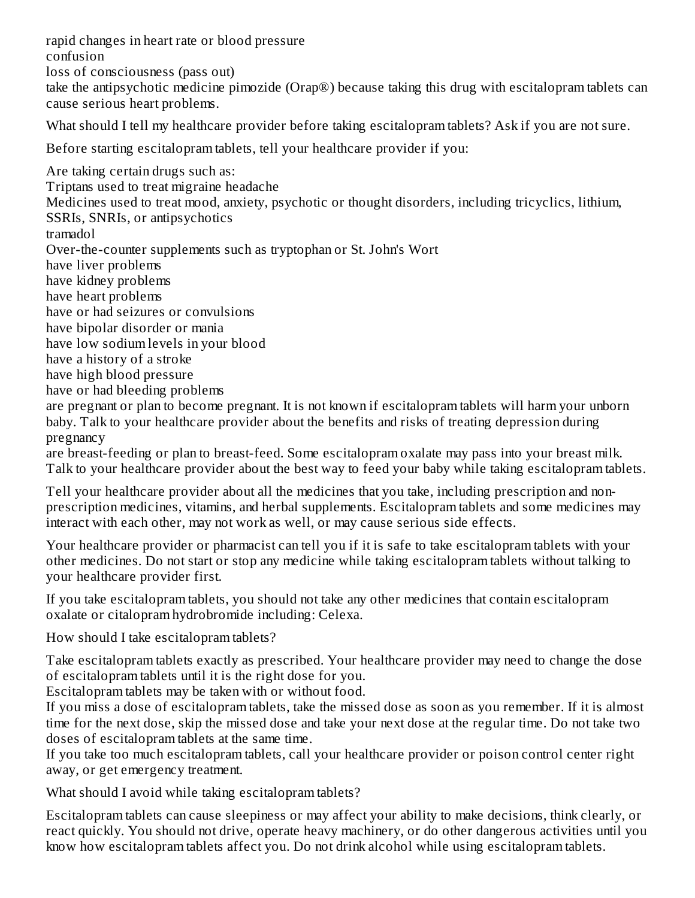rapid changes in heart rate or blood pressure confusion loss of consciousness (pass out) take the antipsychotic medicine pimozide (Orap®) because taking this drug with escitalopram tablets can

What should I tell my healthcare provider before taking escitalopram tablets? Ask if you are not sure.

Before starting escitalopram tablets, tell your healthcare provider if you:

cause serious heart problems.

Are taking certain drugs such as: Triptans used to treat migraine headache Medicines used to treat mood, anxiety, psychotic or thought disorders, including tricyclics, lithium, SSRIs, SNRIs, or antipsychotics tramadol Over-the-counter supplements such as tryptophan or St. John's Wort have liver problems have kidney problems have heart problems have or had seizures or convulsions have bipolar disorder or mania have low sodium levels in your blood have a history of a stroke have high blood pressure have or had bleeding problems are pregnant or plan to become pregnant. It is not known if escitalopram tablets will harm your unborn

baby. Talk to your healthcare provider about the benefits and risks of treating depression during pregnancy

are breast-feeding or plan to breast-feed. Some escitalopram oxalate may pass into your breast milk. Talk to your healthcare provider about the best way to feed your baby while taking escitalopram tablets.

Tell your healthcare provider about all the medicines that you take, including prescription and nonprescription medicines, vitamins, and herbal supplements. Escitalopram tablets and some medicines may interact with each other, may not work as well, or may cause serious side effects.

Your healthcare provider or pharmacist can tell you if it is safe to take escitalopram tablets with your other medicines. Do not start or stop any medicine while taking escitalopram tablets without talking to your healthcare provider first.

If you take escitalopram tablets, you should not take any other medicines that contain escitalopram oxalate or citalopram hydrobromide including: Celexa.

How should I take escitalopram tablets?

Take escitalopram tablets exactly as prescribed. Your healthcare provider may need to change the dose of escitalopram tablets until it is the right dose for you.

Escitalopram tablets may be taken with or without food.

If you miss a dose of escitalopram tablets, take the missed dose as soon as you remember. If it is almost time for the next dose, skip the missed dose and take your next dose at the regular time. Do not take two doses of escitalopram tablets at the same time.

If you take too much escitalopram tablets, call your healthcare provider or poison control center right away, or get emergency treatment.

What should I avoid while taking escitalopram tablets?

Escitalopram tablets can cause sleepiness or may affect your ability to make decisions, think clearly, or react quickly. You should not drive, operate heavy machinery, or do other dangerous activities until you know how escitalopram tablets affect you. Do not drink alcohol while using escitalopram tablets.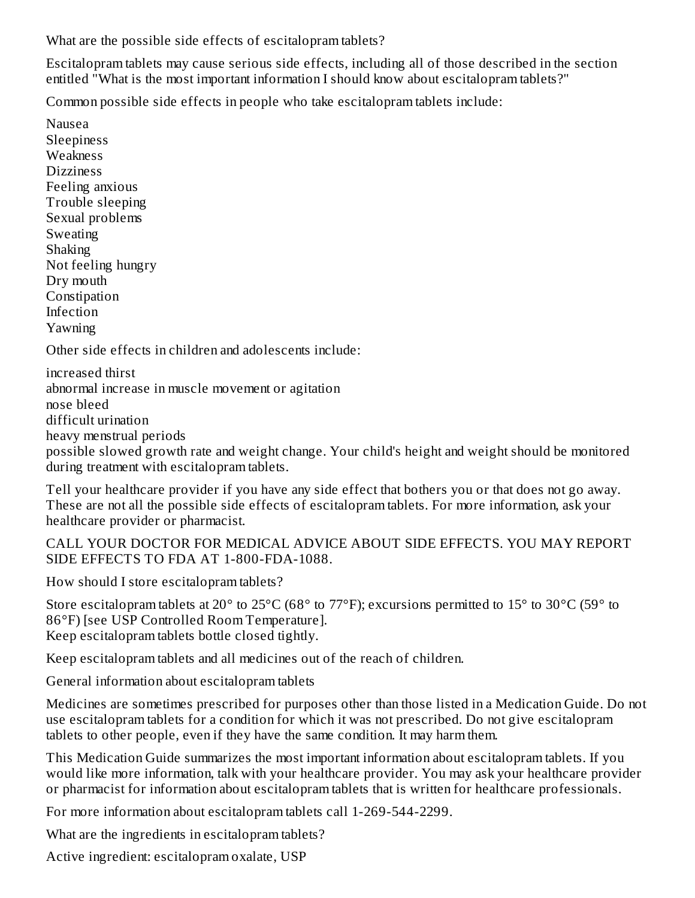What are the possible side effects of escitalopram tablets?

Escitalopram tablets may cause serious side effects, including all of those described in the section entitled "What is the most important information I should know about escitalopram tablets?"

Common possible side effects in people who take escitalopram tablets include:

Nausea Sleepiness **Weakness** Dizziness Feeling anxious Trouble sleeping Sexual problems Sweating **Shaking** Not feeling hungry Dry mouth **Constipation** Infection Yawning

Other side effects in children and adolescents include:

increased thirst abnormal increase in muscle movement or agitation nose bleed difficult urination heavy menstrual periods possible slowed growth rate and weight change. Your child's height and weight should be monitored during treatment with escitalopram tablets.

Tell your healthcare provider if you have any side effect that bothers you or that does not go away. These are not all the possible side effects of escitalopram tablets. For more information, ask your healthcare provider or pharmacist.

CALL YOUR DOCTOR FOR MEDICAL ADVICE ABOUT SIDE EFFECTS. YOU MAY REPORT SIDE EFFECTS TO FDA AT 1-800-FDA-1088.

How should I store escitalopram tablets?

Store escitalopram tablets at 20° to 25°C (68° to 77°F); excursions permitted to 15° to 30°C (59° to 86°F) [see USP Controlled Room Temperature]. Keep escitalopram tablets bottle closed tightly.

Keep escitalopram tablets and all medicines out of the reach of children.

General information about escitalopram tablets

Medicines are sometimes prescribed for purposes other than those listed in a Medication Guide. Do not use escitalopram tablets for a condition for which it was not prescribed. Do not give escitalopram tablets to other people, even if they have the same condition. It may harm them.

This Medication Guide summarizes the most important information about escitalopram tablets. If you would like more information, talk with your healthcare provider. You may ask your healthcare provider or pharmacist for information about escitalopram tablets that is written for healthcare professionals.

For more information about escitalopram tablets call 1-269-544-2299.

What are the ingredients in escitalopram tablets?

Active ingredient: escitalopram oxalate, USP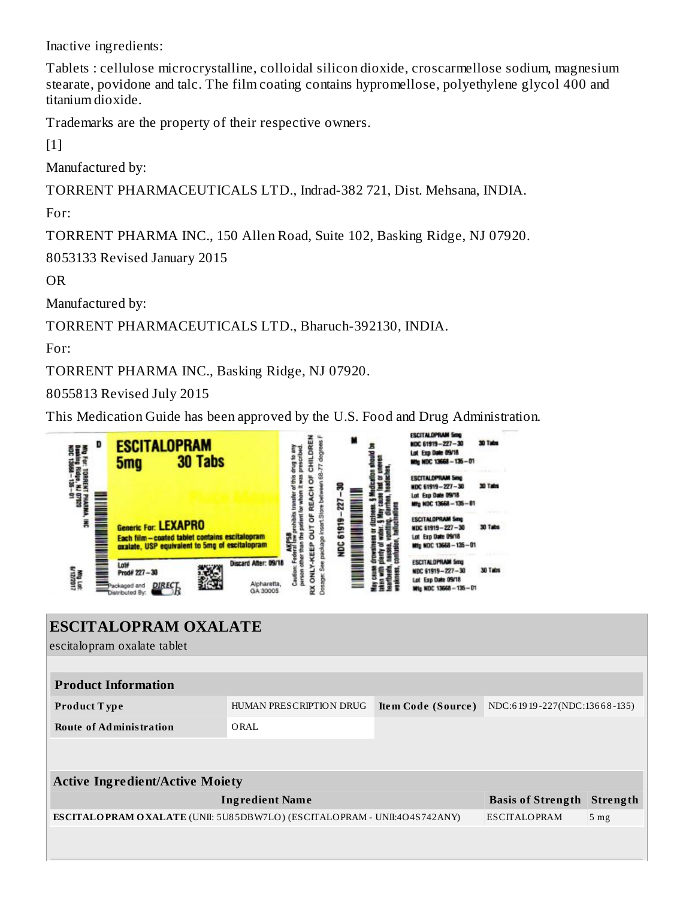Inactive ingredients:

Tablets : cellulose microcrystalline, colloidal silicon dioxide, croscarmellose sodium, magnesium stearate, povidone and talc. The film coating contains hypromellose, polyethylene glycol 400 and titanium dioxide.

Trademarks are the property of their respective owners.

[1]

Manufactured by:

TORRENT PHARMACEUTICALS LTD., Indrad-382 721, Dist. Mehsana, INDIA.

For:

TORRENT PHARMA INC., 150 Allen Road, Suite 102, Basking Ridge, NJ 07920.

8053133 Revised January 2015

OR

Manufactured by:

TORRENT PHARMACEUTICALS LTD., Bharuch-392130, INDIA.

For:

TORRENT PHARMA INC., Basking Ridge, NJ 07920.

8055813 Revised July 2015

This Medication Guide has been approved by the U.S. Food and Drug Administration.



| <b>ESCITALOPRAM OXALATE</b>                                                        |                                        |                    |                              |  |  |  |  |  |  |
|------------------------------------------------------------------------------------|----------------------------------------|--------------------|------------------------------|--|--|--|--|--|--|
| escitalopram oxalate tablet                                                        |                                        |                    |                              |  |  |  |  |  |  |
|                                                                                    |                                        |                    |                              |  |  |  |  |  |  |
| <b>Product Information</b>                                                         |                                        |                    |                              |  |  |  |  |  |  |
| Product Type                                                                       | HUMAN PRESCRIPTION DRUG                | Item Code (Source) | NDC:61919-227(NDC:13668-135) |  |  |  |  |  |  |
| <b>Route of Administration</b>                                                     | ORAL                                   |                    |                              |  |  |  |  |  |  |
|                                                                                    |                                        |                    |                              |  |  |  |  |  |  |
| <b>Active Ingredient/Active Moiety</b>                                             |                                        |                    |                              |  |  |  |  |  |  |
| <b>Basis of Strength</b><br><b>Ingredient Name</b><br><b>Strength</b>              |                                        |                    |                              |  |  |  |  |  |  |
| <b>ESCITALO PRAM O XALATE</b> (UNII: 5U85DBW7LO) (ESCITALO PRAM - UNII:4O4S742ANY) | <b>ESCITALOPRAM</b><br>5 <sub>mg</sub> |                    |                              |  |  |  |  |  |  |
|                                                                                    |                                        |                    |                              |  |  |  |  |  |  |
|                                                                                    |                                        |                    |                              |  |  |  |  |  |  |